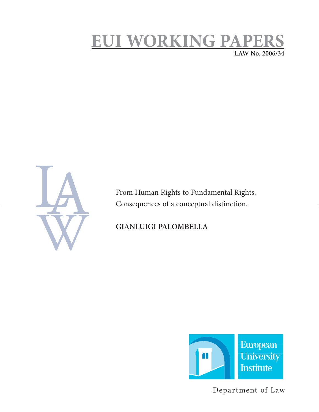# **EUI WORKING PAPERS LAW No. 2006/34**

From Human Rights to Fundamental Rights. Consequences of a conceptual distinction.

## **GIANLUIGI PALOMBELLA**



Department of Law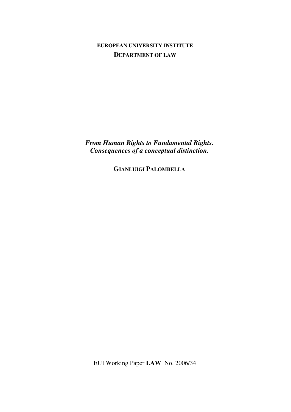**EUROPEAN UNIVERSITY INSTITUTE DEPARTMENT OF LAW**

*From Human Rights to Fundamental Rights. Consequences of a conceptual distinction.* 

**GIANLUIGI PALOMBELLA**

EUI Working Paper **LAW** No. 2006/34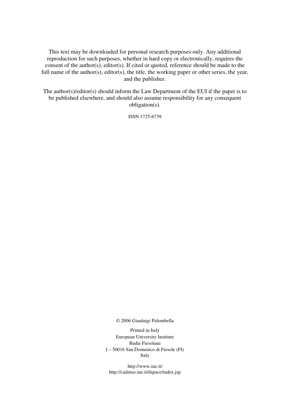This text may be downloaded for personal research purposes only. Any additional reproduction for such purposes, whether in hard copy or electronically, requires the consent of the author(s), editor(s). If cited or quoted, reference should be made to the full name of the author(s), editor(s), the title, the working paper or other series, the year, and the publisher.

The author(s)/editor(s) should inform the Law Department of the EUI if the paper is to be published elsewhere, and should also assume responsibility for any consequent obligation(s).

ISSN 1725-6739

© 2006 Gianluigi Palombella

Printed in Italy European University Institute Badia Fiesolana I – 50016 San Domenico di Fiesole (FI) Italy

http://www.iue.it/ http://cadmus.iue.it/dspace/index.jsp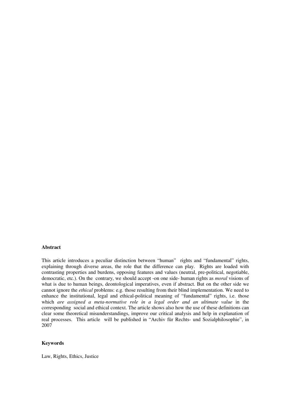#### **Abstract**

This article introduces a peculiar distinction between "human" rights and "fundamental" rights, explaining through diverse areas, the role that the difference can play. Rights are loaded with contrasting properties and burdens, opposing features and values (neutral, pre-political, negotiable, democratic, etc.). On the contrary, we should accept -on one side- human rights as *moral* visions of what is due to human beings, deontological imperatives, even if abstract. But on the other side we cannot ignore the *ethical* problems: e.g. those resulting from their blind implementation. We need to enhance the institutional, legal and ethical-political meaning of "fundamental" rights, i.e. those which *are assigned a meta-normative role in a legal order and an ultimate value* in the corresponding social and ethical context. The article shows also how the use of these definitions can clear some theoretical misunderstandings, improve our critical analysis and help in explanation of real processes. This article will be published in "Archiv für Rechts- und Sozialphilosophie", in 2007

#### **Keywords**

Law, Rights, Ethics, Justice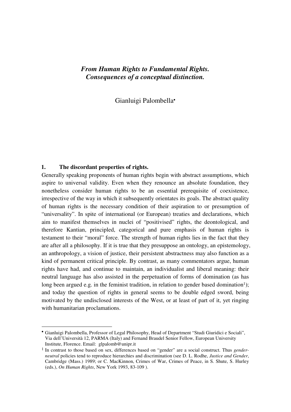## *From Human Rights to Fundamental Rights. Consequences of a conceptual distinction.*

Gianluigi Palombella•

#### **1. The discordant properties of rights.**

-

Generally speaking proponents of human rights begin with abstract assumptions, which aspire to universal validity. Even when they renounce an absolute foundation, they nonetheless consider human rights to be an essential prerequisite of coexistence, irrespective of the way in which it subsequently orientates its goals. The abstract quality of human rights is the necessary condition of their aspiration to or presumption of "universality". In spite of international (or European) treaties and declarations, which aim to manifest themselves in nuclei of "positivised" rights, the deontological, and therefore Kantian, principled, categorical and pure emphasis of human rights is testament to their "moral" force. The strength of human rights lies in the fact that they are after all a philosophy. If it is true that they presuppose an ontology, an epistemology, an anthropology, a vision of justice, their persistent abstractness may also function as a kind of permanent critical principle. By contrast, as many commentators argue, human rights have had, and continue to maintain, an individualist and liberal meaning: their neutral language has also assisted in the perpetuation of forms of domination (as has long been argued e.g. in the feminist tradition, in relation to gender based domination<sup>1</sup>); and today the question of rights in general seems to be double edged sword, being motivated by the undisclosed interests of the West, or at least of part of it, yet ringing with humanitarian proclamations.

<sup>•</sup> Gianluigi Palombella, Professor of Legal Philosophy, Head of Department "Studi Giuridici e Sociali", Via dell'Università 12, PARMA (Italy) and Fernand Braudel Senior Fellow, European University Institute, Florence. Email: glpalomb@unipr.it

<sup>1</sup> In contrast to those based on sex, differences based on "gender" are a social construct. Thus *genderneutral* policies tend to reproduce hierarchies and discrimination (see D. L. Rodhe, *Justice and Gender*, Cambridge (Mass.) 1989; or C. MacKinnon, Crimes of War, Crimes of Peace, in S. Shute, S. Hurley (eds.), *On Human Rights*, New York 1993, 83-109 ).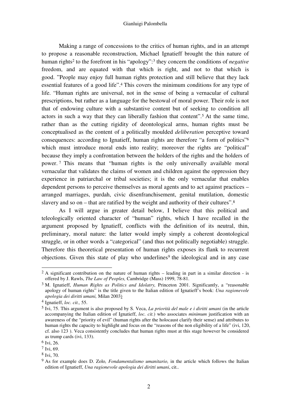Making a range of concessions to the critics of human rights, and in an attempt to propose a reasonable reconstruction, Michael Ignatieff brought the thin nature of human rights<sup>2</sup> to the forefront in his "apology":<sup>3</sup> they concern the conditions of *negative* freedom, and are equated with that which is right, and not to that which is good. "People may enjoy full human rights protection and still believe that they lack essential features of a good life".4 This covers the minimum conditions for any type of life. "Human rights are universal, not in the sense of being a vernacular of cultural prescriptions, but rather as a language for the bestowal of moral power. Their role is not that of endowing culture with a substantive content but of seeking to condition all actors in such a way that they can liberally fashion that content".5 At the same time, rather than as the cutting rigidity of deontological arms, human rights must be conceptualised as the content of a politically moulded *deliberation* perceptive toward consequences: according to Ignatieff, human rights are therefore "a form of politics"<sup>6</sup> which must introduce moral ends into reality; moreover the rights are "political" because they imply a confrontation between the holders of the rights and the holders of power. <sup>7</sup> This means that "human rights is the only universally available moral vernacular that validates the claims of women and children against the oppression they experience in patriarchal or tribal societies; it is the only vernacular that enables dependent persons to perceive themselves as moral agents and to act against practices – arranged marriages, purdah, civic disenfranchisement, genital mutilation, domestic slavery and so on – that are ratified by the weight and authority of their cultures".<sup>8</sup>

As I will argue in greater detail below, I believe that this political and teleologically oriented character of "human" rights, which I have recalled in the argument proposed by Ignatieff, conflicts with the definition of its neutral, thin, preliminary, moral nature: the latter would imply simply a coherent deontological struggle, or in other words a "categorical" (and thus not politically negotiable) struggle. Therefore this theoretical presentation of human rights exposes its flank to recurrent  $objections.$  Given this state of play who underlines<sup>9</sup> the ideological and in any case

<sup>&</sup>lt;sup>2</sup> A significant contribution on the nature of human rights – leading in part in a similar direction - is offered by J. Rawls, *The Law of Peoples,* Cambridge (Mass) 1999, 78-81.

<sup>3</sup> M. Ignatieff, *Human Rights as Politics and Idolatry,* Princeton 2001. Significantly, a "reasonable apology of human rights" is the title given to the Italian edition of Ignatieff's book: *Una ragionevole apologia dei diritti umani,* Milan 2003)

<sup>4</sup> Ignatieff, *loc. cit.,* 55.

<sup>5</sup> Ivi, 75. This argument is also proposed by S. Veca, *La priorità del male e i diritti umani* (in the article accompanying the Italian edition of Ignatieff, *loc. cit.*) who associates *minimum* justification with an awareness of the "priority of evil" (human rights after the holocaust clarify their sense) and attributes to human rights the capacity to highlight and focus on the "reasons of the non eligibility of a life" (ivi, 120, cf. also 123 ). Veca consistently concludes that human rights must at this stage however be considered as trump cards (ivi, 133).

<sup>6</sup> Ivi, 26.

<sup>7</sup> Ivi, 69.

<sup>8</sup> Ivi, 70.

<sup>9</sup> As for example does D. Zolo*, Fondamentalismo umanitario,* in the article which follows the Italian edition of Ignatieff, *Una ragionevole apologia dei diritti umani*, cit..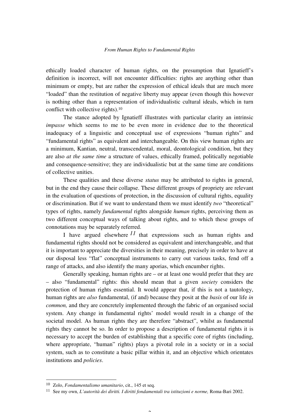ethically loaded character of human rights, on the presumption that Ignatieff's definition is incorrect, will not encounter difficulties: rights are anything other than minimum or empty, but are rather the expression of ethical ideals that are much more "loaded" than the restitution of negative liberty may appear (even though this however is nothing other than a representation of individualistic cultural ideals, which in turn conflict with collective rights).<sup>10</sup>

The stance adopted by Ignatieff illustrates with particular clarity an intrinsic *impasse* which seems to me to be even more in evidence due to the theoretical inadequacy of a linguistic and conceptual use of expressions "human rights" and "fundamental rights" as equivalent and interchangeable. On this view human rights are a minimum, Kantian, neutral, transcendental, moral, deontological condition, but they are also *at the same time* a structure of values, ethically framed, politically negotiable and consequence-sensitive; they are individualistic but at the same time are conditions of collective unities.

These qualities and these diverse *status* may be attributed to rights in general, but in the end they cause their collapse. These different groups of propriety are relevant in the evaluation of questions of protection, in the discussion of cultural rights, equality or discrimination. But if we want to understand them we must identify *two* "theoretical" types of rights, namely *fundamental* rights alongside *human* rights, perceiving them as two different conceptual ways of talking about rights, and to which these groups of connotations may be separately referred.

I have argued elsewhere *11* that expressions such as human rights and fundamental rights should not be considered as equivalent and interchangeable, and that it is important to appreciate the diversities in their meaning, precisely in order to have at our disposal less "flat" conceptual instruments to carry out various tasks, fend off a range of attacks, and also identify the many aporias, which encumber rights.

Generally speaking, human rights are – or at least one would prefer that they are – also "fundamental" rights: this should mean that a given *society* considers the protection of human rights essential. It would appear that, if this is not a tautology, human rights are *also* fundamental, (if and) because they posit at the *basis* of our life *in common,* and they are concretely implemented through the fabric of an organised social system. Any change in fundamental rights' model would result in a change of the societal model. As human rights they are therefore "abstract", whilst as fundamental rights they cannot be so. In order to propose a description of fundamental rights it is necessary to accept the burden of establishing that a specific core of rights (including, where appropriate, "human" rights) plays a pivotal role in a society or in a social system, such as to constitute a basic pillar within it, and an objective which orientates institutions and *policies*.

<sup>10</sup> Zolo, *Fondamentalismo umanitario*, cit., 145 et seq.

<sup>11</sup> See my own, *L'autorità dei diritti. I diritti fondamentali tra istituzioni e norme,* Roma-Bari 2002.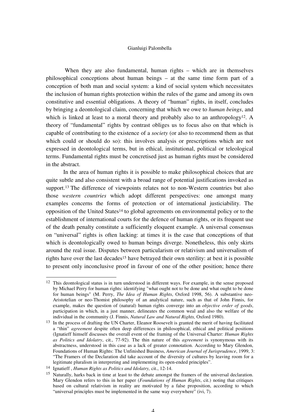When they are also fundamental, human rights – which are in themselves philosophical conceptions about human beings – at the same time form part of a conception of both man and social system: a kind of social system which necessitates the inclusion of human rights protection within the rules of the game and among its own constitutive and essential obligations. A theory of "human" rights, in itself, concludes by bringing a deontological claim, concerning that which we owe to *human beings*, and which is linked at least to a moral theory and probably also to an anthropology<sup>12</sup>. A theory of "fundamental" rights by contrast obliges us to focus also on that which is capable of contributing to the existence of a *society* (or also to recommend them as that which could or should do so): this involves analysis or prescriptions which are not expressed in deontological terms, but in ethical, institutional, political or teleological terms. Fundamental rights must be concretised just as human rights must be considered in the abstract.

In the area of human rights it is possible to make philosophical choices that are quite subtle and also consistent with a broad range of potential justifications invoked as support.<sup>13</sup> The difference of viewpoints relates not to non-Western countries but also those *western countries* which adopt different perspectives: one amongst many examples concerns the forms of protection or of international justiciability. The opposition of the United States14 to global agreements on environmental policy or to the establishment of international courts for the defence of human rights, or its frequent use of the death penalty constitute a sufficiently eloquent example. A universal consensus on "universal" rights is often lacking: at times it is the case that conceptions of that which is deontologically owed to human beings diverge. Nonetheless, this only skirts around the real issue. Disputes between particularism or relativism and universalism of rights have over the last decades<sup>15</sup> have betrayed their own sterility: at best it is possible to present only inconclusive proof in favour of one of the other position; hence there

<sup>&</sup>lt;sup>12</sup> This deontological status is in turn understood in different ways. For example, in the sense proposed by Michael Perry for human rights: identifying "what ought not to be done and what ought to be done for human beings" (M. Perry, *The Idea of Human Rights*, Oxford 1998, 56). A substantive neo-Aristotelian or neo-Thomist philosophy of an analytical nature, such as that of John Finnis, for example, makes the question of (natural) human rights converge into an *objective order of goods*, participation in which, in a just manner, delineates the common weal and also the welfare of the individual in the community (J. Finnis, *Natural Law and Natural Rights,* Oxford 1980).

<sup>&</sup>lt;sup>13</sup> In the process of drafting the UN Charter, Eleanor Roosevelt is granted the merit of having facilitated a "thin" *agreement* despite often deep differences in philosophical, ethical and political positions (Ignatieff himself discusses the overall event of the framing of the Universal Charter: *Human Rights as Politics and Idolatry*, cit., 77-92). The thin nature of this *agreement* is synonymous with its abstractness, understood in this case as a lack of greater connotation. According to Mary Glendon, Foundations of Human Rights: The Unfinished Business, *American Journal of Jurisprudence*, 1999, 3: "The Framers of the Declaration did take account of the diversity of cultures by leaving room for a legitimate pluralism in interpreting and implementing its open-ended principles".

<sup>14</sup> Ignatieff , *Human Rights as Politics and Idolatry,* cit., 12-14.

<sup>&</sup>lt;sup>15</sup> Naturally, harks back in time at least to the debate amongst the framers of the universal declaration. Mary Glendon refers to this in her paper (*Foundations of Human Rights*, cit.) noting that critiques based on cultural relativism in reality are motivated by a false proposition, according to which "universal principles must be implemented in the same way everywhere" (ivi, 7).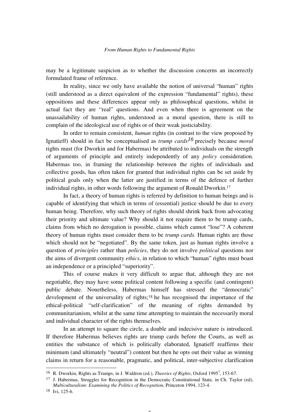may be a legitimate suspicion as to whether the discussion concerns an incorrectly formulated frame of reference.

In reality, since we only have available the notion of universal "human" rights (still understood as a direct equivalent of the expression "fundamental" rights), these oppositions and these differences appear only as philosophical questions, whilst in actual fact they are "real" questions. And even when there is agreement on the unassailability of human rights, understood as a moral question, there is still to complain of the ideological use of rights or of their weak justiciability.

In order to remain consistent, *human* rights (in contrast to the view proposed by Ignatieff) should in fact be conceptualised as *trump cards16* precisely because *moral* rights must (for Dworkin and for Habermas) be attributed to individuals on the strength of arguments of principle and entirely independently of any *policy* consideration. Habermas too, in framing the relationship between the rights of individuals and collective goods, has often taken for granted that individual rights can be set aside by political goals only when the latter are justified in terms of the defence of further individual rights, in other words following the argument of Ronald Dworkin.<sup>17</sup>

In fact, a theory of human rights is referred by definition to human beings and is capable of identifying that which in terms of (essential) justice should be due to every human being. Therefore, why such theory of rights should shrink back from advocating their priority and ultimate value? Why should it not require them to be trump cards, claims from which no derogation is possible, claims which cannot "lose"? A coherent theory of human rights must consider them to be *trump cards.* Human rights are those which should not be "negotiated". By the same token, just as human rights involve a question of *principles* rather than *policies*, they do not involve *political* questions nor the aims of divergent community *ethics*, in relation to which "human" rights must boast an independence or a principled "superiority".

This of course makes it very difficult to argue that, although they are not negotiable, they may have some political content following a specific (and contingent) public debate. Nonetheless, Habermas himself has stressed the "democratic" development of the universality of rights;18 he has recognised the importance of the ethical-political "self-clarification" of the meaning of rights demanded by communitarianism, whilst at the same time attempting to maintain the necessarily moral and individual character of the rights themselves.

In an attempt to square the circle, a double and indecisive nature is introduced. If therefore Habermas believes rights are trump cards before the Courts, as well as entities the substance of which is politically elaborated, Ignatieff reaffirms their minimum (and ultimately "neutral") content but then he opts out their value as winning claims in return for a reasonable, pragmatic, and political, inter-subjective clarification

5

<sup>&</sup>lt;sup>16</sup> R. Dworkin, Rights as Trumps, in J. Waldron (ed.), *Theories of Rights*, Oxford 1995<sup>7</sup>, 153-67.

<sup>17</sup> J. Habermas, Struggles for Recognition in the Democratic Constitutional State*,* in Ch. Taylor (ed), *Multiculturalism: Examining the Politics of Recognition,* Princeton 1994, 123-4.

<sup>18</sup> Ivi, 125-6.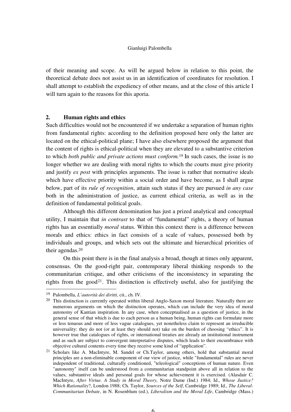of their meaning and scope. As will be argued below in relation to this point, the theoretical debate does not assist us in an identification of coordinates for resolution. I shall attempt to establish the expediency of other means, and at the close of this article I will turn again to the reasons for this aporia.

#### **2. Human rights and ethics**

Such difficulties would not be encountered if we undertake a separation of human rights from fundamental rights: according to the definition proposed here only the latter are located on the ethical-political plane; I have also elsewhere proposed the argument that the content of rights is ethical-political when they are elevated to a substantive criterion to which *both public and private actions must conform.*<sup>19</sup> In such cases, the issue is no longer whether we are dealing with moral rights to which the courts must give priority and justify *ex post* with principles arguments. The issue is rather that normative ideals which have effective priority within a social order and have become, as I shall argue below, part of its *rule of recognition*, attain such status if they are pursued *in any case*  both in the administration of justice, as current ethical criteria, as well as in the definition of fundamental political goals.

Although this different denomination has just a prized analytical and conceptual utility, I maintain that *in contrast* to that of "fundamental" rights, a theory of human rights has an essentially *moral* status. Within this context there is a difference between morals and ethics: ethics in fact consists of a scale of values, possessed both by individuals and groups, and which sets out the ultimate and hierarchical priorities of their agendas.<sup>20</sup>

On this point there is in the final analysis a broad, though at times only apparent, consensus. On the good-right pair, contemporary liberal thinking responds to the communitarian critique, and other criticisms of the inconsistency in separating the rights from the good<sup>21</sup>. This distinction is effectively useful, also for justifying the

<sup>19</sup> Palombella, *L'autorità dei diritti,* cit., ch. IV.

<sup>&</sup>lt;sup>20</sup> This distinction is currently operated within liberal Anglo-Saxon moral literature. Naturally there are numerous arguments on which the distinction operates, which can include the very idea of moral autonomy of Kantian inspiration. In any case, when conceptualised as a question of justice, in the general sense of that which is due to each person as a human being, human rights can formulate more or less tenuous and more of less vague catalogues, yet nonetheless claim to represent an irreducible universality: they do not (or at least they should not) take on the burden of choosing "ethics". It is however true that catalogues of rights, or international treaties are already an institutional instrument and as such are subject to convergent interpretative disputes, which leads to their encumbrance with objective cultural contents every time they receive some kind of "application".

<sup>21</sup> Scholars like A. MacIntyre, M. Sandel or Ch.Taylor, among others, hold that substantial moral principles are a non-eliminable component of our view of justice, while "fundamental" rules are never independent of traditional, culturally conditioned, "teleological" conceptions of human nature. Even "autonomy" itself can be understood from a communitarian standpoint above all in relation to the values, substantive ideals and personal goals for whose achievement it is exercised. (Alasdair C. MacIntyre, *After Virtue. A Study in Moral Theory,* Notre Dame (Ind.) 1984; Id., *Whose Justice? Which Rationality*?, London 1988; Ch. Taylor, *Sources of the Self*, Cambridge 1989; Id., *The Liberal-Communitarian Debate*, in N. Rosenblum (ed.), *Liberalism and the Moral Life*, Cambridge (Mass.)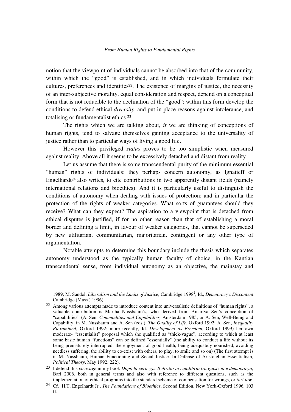notion that the viewpoint of individuals cannot be absorbed into that of the community, within which the "good" is established, and in which individuals formulate their cultures, preferences and identities<sup>22</sup>. The existence of margins of justice, the necessity of an inter-subjective morality, equal consideration and respect, depend on a conceptual form that is not reducible to the declination of the "good": within this form develop the conditions to defend ethical *diversity*, and put in place reasons against intolerance, and totalising or fundamentalist ethics.<sup>23</sup>

The rights which we are talking about, *if* we are thinking of conceptions of human rights, tend to salvage themselves gaining acceptance to the universality of justice rather than to particular ways of living a good life.

However this privileged *status* proves to be too simplistic when measured against reality. Above all it seems to be excessively detached and distant from reality.

Let us assume that there is some transcendental purity of the minimum essential "human" rights of individuals: they perhaps concern autonomy, as Ignatieff or Engelhardt<sup>24</sup> also writes, to cite contributions in two apparently distant fields (namely international relations and bioethics). And it is particularly useful to distinguish the conditions of autonomy when dealing with issues of protection: and in particular the protection of the rights of weaker categories. What sorts of guarantees should they receive? What can they expect? The aspiration to a viewpoint that is detached from ethical disputes is justified, if for no other reason than that of establishing a moral border and defining a limit, in favour of weaker categories, that cannot be superseded by new utilitarian, communitarian, majoritarian, contingent or any other type of argumentation.

Notable attempts to determine this boundary include the thesis which separates autonomy understood as the typically human faculty of choice, in the Kantian transcendental sense, from individual autonomy as an objective, the mainstay and

-

<sup>1989;</sup> M. Sandel, *Liberalism and the Limits of Justice*, Cambridge 1998<sup>2</sup>; Id., Democracy's Discontent, Cambridge (Mass.) 1996).

<sup>22</sup> Among various attempts made to introduce content into universalistic definitions of "human rights", a valuable contribution is Martha Nussbaum's, who derived from Amartya Sen's conception of "capabilities" (A. Sen, *Commodities and Capabilities,* Amsterdam 1985; or A. Sen, Well-Being and Capability, in M. Nussbaum and A. Sen (eds.), *The Quality of Life*, Oxford 1992; A. Sen, *Inequality Riexamined*, Oxford 1992; more recently, Id. *Development as Freedom*, Oxford 1999) her own moderate- "essentialist" proposal which she qualified as "thick-vague", according to which at least some basic human "functions" can be defined "essentially" (the ability to conduct a life without its being prematurely interrupted, the enjoyment of good health, being adequately nourished, avoiding needless suffering, the ability to co-exist with others, to play, to smile and so on) (The first attempt is in M. Nussbaum, Human Functioning and Social Justice. In Defense of Aristotelian Essentialism, *Political Theory*, May 1992, 222).

<sup>23</sup> I defend this *cleavage* in my book *Dopo la certezza. Il diritto in equilibrio tra giustizia e democrazia,*  Bari 2006, both in general terms and also with reference to different questions, such as the implementation of ethical programs into the standard scheme of compensation for wrongs, or *tort law*.

<sup>24</sup> Cf. H.T. Engelhardt Jr., *The Foundations of Bioethics*, Second Edition, New York-Oxford 1996, 103 ff.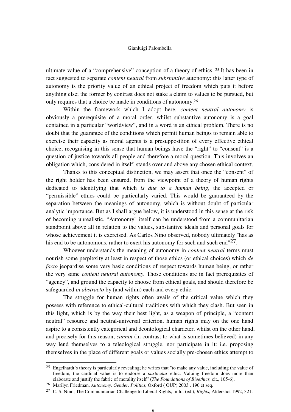ultimate value of a "comprehensive" conception of a theory of ethics. 25 It has been in fact suggested to separate *content neutral* from *substantive* autonomy: this latter type of autonomy is the priority value of an ethical project of freedom which puts it before anything else; the former by contrast does not stake a claim to values to be pursued, but only requires that a choice be made in conditions of autonomy.<sup>26</sup>

Within the framework which I adopt here, *content neutral autonomy* is obviously a prerequisite of a moral order, whilst substantive autonomy is a goal contained in a particular "worldview", and in a word is an ethical problem. There is no doubt that the guarantee of the conditions which permit human beings to remain able to exercise their capacity as moral agents is a presupposition of every effective ethical choice; recognising in this sense that human beings have the "right" to "consent" is a question of justice towards all people and therefore a moral question. This involves an obligation which, considered in itself, stands over and above any chosen ethical context.

Thanks to this conceptual distinction, we may assert that once the "consent" of the right holder has been ensured, from the viewpoint of a theory of human rights dedicated to identifying that which *is due to a human being*, the accepted or "permissible" ethics could be particularly varied. This would be guaranteed by the separation between the meanings of autonomy, which is without doubt of particular analytic importance. But as I shall argue below, it is understood in this sense at the risk of becoming unrealistic. "Autonomy" itself can be understood from a communitarian standpoint above all in relation to the values, substantive ideals and personal goals for whose achievement it is exercised. As Carlos Nino observed, nobody ultimately "has as his end to be autonomous, rather to exert his autonomy for such and such end" $27$ .

Whoever understands the meaning of autonomy in *content neutral* terms must nourish some perplexity at least in respect of those ethics (or ethical choices) which *de facto jeopardise* some very basic conditions of respect towards human being, or rather the very same *content neutral autonomy.* Those conditions are in fact prerequisites of "agency", and ground the capacity to choose from ethical goals, and should therefore be safeguarded *in abstracto* by (and within) each and every ethic.

The struggle for human rights often avails of the critical value which they possess with reference to ethical-cultural traditions with which they clash. But seen in this light, which is by the way their best light, as a weapon of principle, a "content neutral" resource and neutral-universal criterion, human rights may on the one hand aspire to a consistently categorical and deontological character, whilst on the other hand, and precisely for this reason, *cannot* (in contrast to what is sometimes believed) in any way lend themselves to a teleological struggle, nor participate in it: i.e. proposing themselves in the place of different goals or values socially pre-chosen ethics attempt to

<sup>25</sup> Engelhardt's theory is particularly revealing; he writes that "to make any value, including the value of freedom, the cardinal value is to endorse a *particular* ethic. Valuing freedom does more than elaborate and justify the fabric of morality itself" (*The Foundations of Bioethics,* cit., 105-6).

<sup>26</sup> Marilyn Friedman, *Autonomy, Gender, Politics,* Oxford ( OUP) 2003 , 190 et seq.

<sup>27</sup> C. S. Nino, The Communitarian Challenge to Liberal Rights, in Id. (ed.), *Rights*, Aldershot 1992, 321.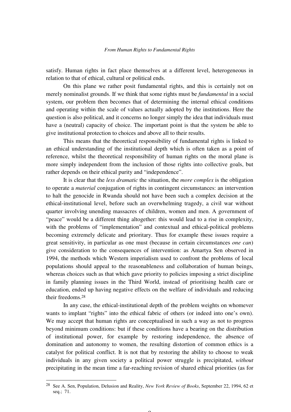satisfy. Human rights in fact place themselves at a different level, heterogeneous in relation to that of ethical, cultural or political ends.

On this plane we rather posit fundamental rights, and this is certainly not on merely nominalist grounds. If we think that some rights must be *fundamental* in a social system, our problem then becomes that of determining the internal ethical conditions and operating within the scale of values actually adopted by the institutions. Here the question is also political, and it concerns no longer simply the idea that individuals must have a (neutral) capacity of choice. The important point is that the system be able to give institutional protection to choices and above all to their results.

This means that the theoretical responsibility of fundamental rights is linked to an ethical understanding of the institutional depth which is often taken as a point of reference, whilst the theoretical responsibility of human rights on the moral plane is more simply independent from the inclusion of those rights into collective goals, but rather depends on their ethical purity and "independence".

It is clear that the *less dramatic* the situation, the *more complex* is the obligation to operate a *material* conjugation of rights in contingent circumstances: an intervention to halt the genocide in Rwanda should not have been such a complex decision at the ethical-institutional level, before such an overwhelming tragedy, a civil war without quarter involving unending massacres of children, women and men. A government of "peace" would be a different thing altogether: this would lead to a rise in complexity, with the problems of "implementation" and contextual and ethical-political problems becoming extremely delicate and prioritary. Thus for example these issues require a great sensitivity, in particular as one must (because in certain circumstances *one can*) give consideration to the consequences of intervention: as Amartya Sen observed in 1994, the methods which Western imperialism used to confront the problems of local populations should appeal to the reasonableness and collaboration of human beings, whereas choices such as that which gave priority to policies imposing a strict discipline in family planning issues in the Third World, instead of prioritising health care or education, ended up having negative effects on the welfare of individuals and reducing their freedoms.<sup>28</sup>

In any case, the ethical-institutional depth of the problem weights on whomever wants to implant "rights" into the ethical fabric of others (or indeed into one's own). We may accept that human rights are conceptualised in such a way as not to progress beyond minimum conditions: but if these conditions have a bearing on the distribution of institutional power, for example by restoring independence, the absence of domination and autonomy to women, the resulting distortion of common ethics is a catalyst for political conflict. It is not that by restoring the ability to choose to weak individuals in any given society a political power struggle is precipitated, *without*  precipitating in the mean time a far-reaching revision of shared ethical priorities (as for

-

 $\Omega$ 

<sup>28</sup> See A. Sen, Population, Delusion and Reality, *New York Review of Books*, September 22, 1994, 62 et seq.; 71.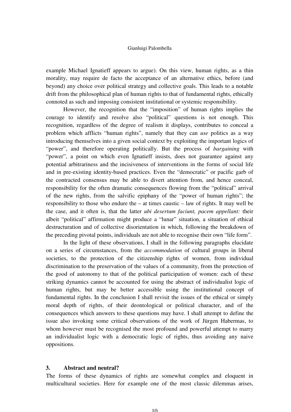example Michael Ignatieff appears to argue). On this view, human rights, as a thin morality, may require de facto the acceptance of an alternative ethics, before (and beyond) any choice over political strategy and collective goals. This leads to a notable drift from the philosophical plan of human rights to that of fundamental rights, ethically connoted as such and imposing consistent institutional or systemic responsibility.

However, the recognition that the "imposition" of human rights implies the courage to identify and resolve also "political" questions is not enough. This recognition, regardless of the degree of realism it displays, contributes to conceal a problem which afflicts "human rights", namely that they can *use* politics as a way introducing themselves into a given social context by exploiting the important logics of "power", and therefore operating politically. But the process of *bargaining* with "power", a point on which even Ignatieff insists, does not guarantee against any potential arbitrariness and the incisiveness of interventions in the forms of social life and in pre-existing identity-based practices. Even the "democratic" or pacific garb of the contracted consensus may be able to divert attention from, and hence conceal, responsibility for the often dramatic consequences flowing from the "political" arrival of the new rights, from the salvific epiphany of the "power of human rights"; the responsibility to those who endure the – at times caustic – law of rights. It may well be the case, and it often is, that the latter *ubi desertum faciunt, pacem appellant:* their albeit "political" affirmation might produce a "lunar" situation, a situation of ethical destructuration and of collective disorientation in which, following the breakdown of the preceding pivotal points, individuals are not able to recognise their own "life form".

In the light of these observations, I shall in the following paragraphs elucidate on a series of circumstances, from the *accommodation* of cultural groups in liberal societies, to the protection of the citizenship rights of women, from individual discrimination to the preservation of the values of a community, from the protection of the good of autonomy to that of the political participation of women: each of these striking dynamics cannot be accounted for using the abstract of individualist logic of human rights, but may be better accessible using the institutional concept of fundamental rights. In the conclusion I shall revisit the issues of the ethical or simply moral depth of rights, of their deontological or political character, and of the consequences which answers to these questions may have. I shall attempt to define the issue also invoking some critical observations of the work of Jürgen Habermas, to whom however must be recognised the most profound and powerful attempt to marry an individualist logic with a democratic logic of rights, thus avoiding any naive oppositions.

### **3. Abstract and neutral?**

The forms of these dynamics of rights are somewhat complex and eloquent in multicultural societies. Here for example one of the most classic dilemmas arises,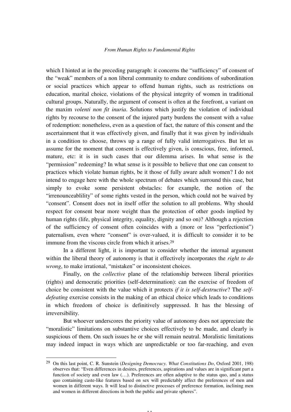which I hinted at in the preceding paragraph: it concerns the "sufficiency" of consent of the "weak" members of a non liberal community to endure conditions of subordination or social practices which appear to offend human rights, such as restrictions on education, marital choice, violations of the physical integrity of women in traditional cultural groups. Naturally, the argument of consent is often at the forefront, a variant on the maxim *volenti non fit inuria*. Solutions which justify the violation of individual rights by recourse to the consent of the injured party burdens the consent with a value of redemption: nonetheless, even as a question of fact, the nature of this consent and the ascertainment that it was effectively given, and finally that it was given by individuals in a condition to choose, throws up a range of fully valid interrogatives. But let us assume for the moment that consent is effectively given, is conscious, free, informed, mature, etc: it is in such cases that our dilemma arises. In what sense is the "permission" redeeming? In what sense is it possible to believe that one can consent to practices which violate human rights, be it those of fully aware adult women? I do not intend to engage here with the whole spectrum of debates which surround this case, but simply to evoke some persistent obstacles: for example, the notion of the "irrenounceablility" of some rights vested in the person, which could not be waived by "consent". Consent does not in itself offer the solution to all problems. Why should respect for consent bear more weight than the protection of other goods implied by human rights (life, physical integrity, equality, dignity and so on)? Although a rejection of the sufficiency of consent often coincides with a (more or less "perfectionist") paternalism, even where "consent" is over-valued, it is difficult to consider it to be immune from the viscous circle from which it arises.<sup>29</sup>

In a different light, it is important to consider whether the internal argument within the liberal theory of autonomy is that it effectively incorporates the *right to do wrong*, to make irrational, "mistaken" or inconsistent choices.

Finally, on the *collective* plane of the relationship between liberal priorities (rights) and democratic priorities (self-determination): can the exercise of freedom of choice be consistent with the value which it protects *if it is self-destructive*? The *selfdefeating* exercise consists in the making of an ethical choice which leads to conditions in which freedom of choice is definitively suppressed. It has the blessing of irreversibility.

But whoever underscores the priority value of autonomy does not appreciate the "moralistic" limitations on substantive choices effectively to be made, and clearly is suspicious of them. On such issues he or she will remain neutral. Moralistic limitations may indeed impact in ways which are unpredictable or too far-reaching, and even

j

11

<sup>29</sup> On this last point, C. R. Sunstein (*Designing Democracy. What Constitutions Do*, Oxford 2001, 198) observes that: "Even differences in desires, preferences, aspirations and values are in significant part a function of society and even law  $(\ldots)$ . Preferences are often adaptive to the status quo, and a status quo containing caste-like features based on sex will predictably affect the preferences of men and women in different ways. It will lead to distinctive processes of preference formation, inclining men and women in different directions in both the public and private spheres".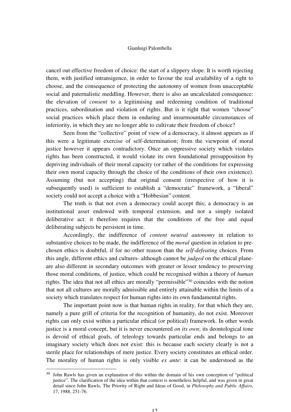cancel out effective freedom of choice: the start of a slippery slope. It is worth rejecting them, with justified intransigence, in order to favour the real availability of a right to choose, and the consequence of protecting the autonomy of women from unacceptable social and paternalistic meddling. However, there is also an uncalculated consequence: the elevation of *consent* to a legitimising and redeeming condition of traditional practices, subordination and violation of rights. But is it right that women "choose" social practices which place them in enduring and insurmountable circumstances of inferiority, in which they are no longer able to cultivate their freedom of choice?

Seen from the "collective" point of view of a democracy, it almost appears as if this were a legitimate exercise of self-determination; from the viewpoint of moral justice however it appears contradictory. Once an oppressive society which violates rights has been constructed, it would violate its own foundational presupposition by depriving individuals of their moral capacity (or rather of the conditions for expressing their own moral capacity through the choice of the conditions of their own existence). Assuming (but not accepting) that original consent (irrespective of how it is subsequently used) is sufficient to establish a "democratic" framework, a "liberal" society could not accept a choice with a "Hobbesian" content.

The truth is that not even a democracy could accept this; a democracy is an institutional asset endowed with temporal extension, and not a simply isolated deliberative act: it therefore requires that the conditions of the free and equal deliberating subjects be persistent in time.

Accordingly, the indifference of *content neutral autonomy* in relation to substantive choices to be made, the indifference of the *moral* question in relation to prechosen ethics is doubtful, if for no other reason than the *self-defeating* choices*.* From this angle, different ethics and cultures- although cannot be *judged* on the ethical planeare also different in secondary outcomes with greater or lesser tendency to preserving those moral conditions, of justice, which could be recognised within a theory of *human* rights. The idea that not all ethics are morally "permissible" <sup>30</sup> coincides with the notion that not all cultures are morally admissible and entirely attainable within the limits of a society which translates respect for human rights into its own fundamental rights.

The important point now is that human rights in reality, for that which they are, namely a pure grill of criteria for the recognition of humanity, do not exist. Moreover rights can only exist within a particular ethical (or political) framework. In other words justice is a moral concept, but it is never encountered *on its own*; its deontological tone is devoid of ethical goals, of teleology towards particular ends and belongs to an imaginary society which does not exist: this is because each society clearly is not a sterile place for relationships of mere justice. Every society constitutes an ethical order. The morality of human rights is only visible *ex ante*: it can be understood as the

<sup>30</sup> John Rawls has given an explanation of this within the domain of his own conception of "political justice". The clarification of the idea within that context is nonetheless helpful, and was given in great detail since John Rawls, The Priority of Right and Ideas of Good, in *Philosophy and Public Affairs*, 17, 1988, 251-76.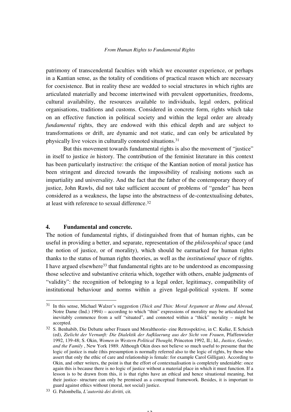patrimony of transcendental faculties with which we encounter experience, or perhaps in a Kantian sense, as the totality of conditions of practical reason which are necessary for coexistence. But in reality these are wedded to social structures in which rights are articulated materially and become intertwined with prevalent opportunities, freedoms, cultural availability, the resources available to individuals, legal orders, political organisations, traditions and customs. Considered in concrete form, rights which take on an effective function in political society and within the legal order are already *fundamental* rights, they are endowed with this ethical depth and are subject to transformations or drift, are dynamic and not static, and can only be articulated by physically live voices in culturally connoted situations.<sup>31</sup>

But this movement towards fundamental rights is also the movement of "justice" in itself to justice *in* history. The contribution of the feminist literature in this context has been particularly instructive: the critique of the Kantian notion of moral justice has been stringent and directed towards the impossibility of realising notions such as impartiality and universality. And the fact that the father of the contemporary theory of justice, John Rawls, did not take sufficient account of problems of "gender" has been considered as a weakness, the lapse into the abstractness of de-contextualising debates, at least with reference to sexual difference.<sup>32</sup>

#### **4. Fundamental and concrete.**

j

The notion of fundamental rights, if distinguished from that of human rights, can be useful in providing a better, and separate, representation of the *philosophical* space (and the notion of justice, or of morality), which should be earmarked for human rights thanks to the status of human rights theories, as well as the *institutional space* of rights. I have argued elsewhere<sup>33</sup> that fundamental rights are to be understood as encompassing those selective and substantive criteria which, together with others, enable judgments of "validity": the recognition of belonging to a legal order, legitimacy, compatibility of institutional behaviour and norms within a given legal-political system. If some

<sup>31</sup> In this sense, Michael Walzer's suggestion (*Thick and Thin: Moral Argument at Home and Abroad,*  Notre Dame (Ind.) 1994) – according to which "thin" expressions of morality may be articulated but inevitably commence from a self "situated", and connoted within a "thick" morality – might be accepted.

<sup>32</sup> S. Benhabib, Die Debatte ueber Frauen und Moraltheorie- eine Retrospektive, in C. Kulke, E Scheich (ed), *Zielicht der Vernunft: Die Dialektik der Aufklaerung aus der Sicht von Frauen*, Pfaffenwieler 1992, 139-48; S. Okin, *Women in Western Political Thought,* Princeton 1992, II.; Id., *Justice, Gender, and the Family* , New York 1989. Although Okin does not believe so much useful to presume that the logic of justice is male (this presumption is normally referred also to the logic of rights, by those who assert that only the ethic of care and relationship is female: for example Carol Gilligan). According to Okin, and other writers, the point is that the effort of contextualisation is completely undeniable: once again this is because there is no logic of justice without a material place in which it must function. If a lesson is to be drawn from this, it is that rights have an ethical and hence situational meaning, but their justice- structure can only be premised as a conceptual framework. Besides, it is important to guard against ethics without (moral, not social) justice.

<sup>33</sup> G. Palombella, *L'autorità dei diritti,* cit*.*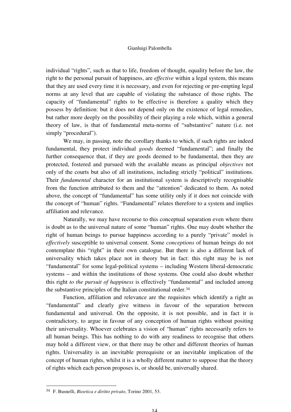individual "rights", such as that to life, freedom of thought, equality before the law, the right to the personal pursuit of happiness, are *effective* within a legal system, this means that they are used every time it is necessary, and even for rejecting or pre-empting legal norms at any level that are capable of violating the substance of those rights. The capacity of "fundamental" rights to be effective is therefore a quality which they possess by definition: but it does not depend only on the existence of legal remedies, but rather more deeply on the possibility of their playing a role which, within a general theory of law, is that of fundamental meta-norms of "substantive" nature (i.e. not simply "procedural").

We may, in passing, note the corollary thanks to which, if such rights are indeed fundamental, they protect individual *goods* deemed "fundamental"; and finally the further consequence that, if they are goods deemed to be fundamental, then they are protected, fostered and pursued with the available means as principal *objectives* not only of the courts but also of all institutions, including strictly "political" institutions. Their *fundamental* character for an institutional system is descriptively recognisable from the function attributed to them and the "attention" dedicated to them. As noted above, the concept of "fundamental" has some utility only if it does not coincide with the concept of "human" rights. "Fundamental" relates therefore to a system and implies affiliation and relevance.

Naturally, we may have recourse to this conceptual separation even where there is doubt as to the universal nature of some "human" rights. One may doubt whether the right of human beings to pursue happiness according to a purely "private" model is *effectively* susceptible to universal consent. Some *conceptions* of human beings do not contemplate this "right" in their own catalogue. But there is also a different lack of universality which takes place not in theory but in fact: this right may be is not "fundamental" for some legal-political systems – including Western liberal-democratic systems – and within the institutions of those systems. One could also doubt whether this right *to the pursuit of happiness* is effectively "fundamental" and included among the substantive principles of the Italian constitutional order.<sup>34</sup>

Function, affiliation and relevance are the requisites which identify a right as "fundamental" and clearly give witness in favour of the separation between fundamental and universal. On the opposite, it is not possible, and in fact it is contradictory, to argue in favour of any conception of human rights without positing their universality. Whoever celebrates a vision of "human" rights necessarily refers to all human beings. This has nothing to do with any readiness to recognise that others may hold a different view, or that there may be other and different theories of human rights. Universality is an inevitable prerequisite or an inevitable implication of the concept of human rights, whilst it is a wholly different matter to suppose that the theory of rights which each person proposes is, or should be, universally shared.

<sup>34</sup> F. Busnelli, *Bioetica e diritto privato*, Torino 2001, 53.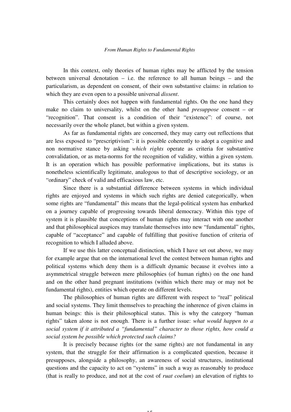In this context, only theories of human rights may be afflicted by the tension between universal denotation – i.e. the reference to all human beings – and the particularism, as dependent on consent, of their own substantive claims: in relation to which they are even open to a possible universal *dissent*.

This certainly does not happen with fundamental rights. On the one hand they make no claim to universality, whilst on the other hand *presuppose* consent – or "recognition". That consent is a condition of their "existence": of course, not necessarily over the whole planet, but within a given system.

As far as fundamental rights are concerned, they may carry out reflections that are less exposed to "prescriptivism": it is possible coherently to adopt a cognitive and non normative stance by asking *which rights* operate as criteria for substantive convalidation, or as meta-norms for the recognition of validity, within a given system. It is an operation which has possible performative implications, but its status is nonetheless scientifically legitimate, analogous to that of descriptive sociology, or an "ordinary" check of valid and efficacious law, etc.

Since there is a substantial difference between systems in which individual rights are enjoyed and systems in which such rights are denied categorically, when some rights are "fundamental" this means that the legal-political system has embarked on a journey capable of progressing towards liberal democracy. Within this type of system it is plausible that conceptions of human rights may interact with one another and that philosophical auspices may translate themselves into new "fundamental" rights, capable of "acceptance" and capable of fulfilling that positive function of criteria of recognition to which I alluded above.

If we use this latter conceptual distinction, which I have set out above, we may for example argue that on the international level the contest between human rights and political systems which deny them is a difficult dynamic because it evolves into a asymmetrical struggle between mere philosophies (of human rights) on the one hand and on the other hand pregnant institutions (within which there may or may not be fundamental rights), entities which operate on different levels.

The philosophies of human rights are different with respect to "real" political and social systems. They limit themselves to preaching the inherence of given claims in human beings: this is their philosophical status. This is why the category "human rights" taken alone is not enough. There is a further issue: *what would happen to a social system if it attributed a "fundamental" character to those rights, how could a social system be possible which protected such claims?* 

It is precisely because rights (or the same rights) are not fundamental in any system, that the struggle for their affirmation is a complicated question, because it presupposes, alongside a philosophy, an awareness of social structures, institutional questions and the capacity to act on "systems" in such a way as reasonably to produce (that is really to produce, and not at the cost of *ruat coelum*) an elevation of rights to

 $1<sub>5</sub>$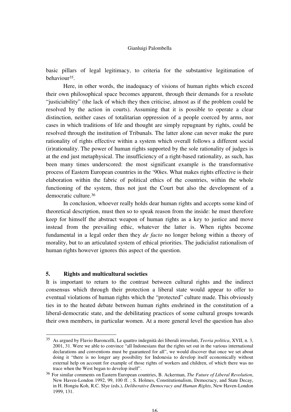basic pillars of legal legitimacy, to criteria for the substantive legitimation of behaviour35.

Here, in other words, the inadequacy of visions of human rights which exceed their own philosophical space becomes apparent, through their demands for a resolute "justiciability" (the lack of which they then criticise, almost as if the problem could be resolved by the action in courts). Assuming that it is possible to operate a clear distinction, neither cases of totalitarian oppression of a people coerced by arms, nor cases in which traditions of life and thought are simply repugnant by rights, could be resolved through the institution of Tribunals. The latter alone can never make the pure rationality of rights effective within a system which overall follows a different social (ir)rationality. The power of human rights supported by the sole rationality of judges is at the end just metaphysical. The insufficiency of a right-based rationality, as such, has been many times underscored: the most significant example is the transformative process of Eastern European countries in the '90ies. What makes rights effective is their elaboration within the fabric of political ethics of the countries, within the whole functioning of the system, thus not just the Court but also the development of a democratic culture.<sup>36</sup>

In conclusion, whoever really holds dear human rights and accepts some kind of theoretical description, must then so to speak reason from the inside: he must therefore keep for himself the abstract weapon of human rights as a key to justice and move instead from the prevailing ethic, whatever the latter is. When rights become fundamental in a legal order then they *de facto* no longer belong within a theory of morality, but to an articulated system of ethical priorities. The judicialist rationalism of human rights however ignores this aspect of the question.

#### **5. Rights and multicultural societies**

j

It is important to return to the contrast between cultural rights and the indirect consensus which through their protection a liberal state would appear to offer to eventual violations of human rights which the "protected" culture made. This obviously ties in to the heated debate between human rights enshrined in the constitution of a liberal-democratic state, and the debilitating practices of some cultural groups towards their own members, in particular women. At a more general level the question has also

<sup>35</sup> As argued by Flavio Baroncelli, Le quattro indegnità dei liberali irresoluti, *Teoria politica*, XVII, n. 3, 2001, 31. Were we able to convince "all Indonesians that the rights set out in the various international declarations and conventions must be guaranteed for all", we would discover that once we set about doing it "there is no longer any possibility for Indonesia to develop itself economically without external help on account for example of those rights of workers and children, of which there was no trace when the West began to develop itself".

<sup>36</sup> For similar comments on Eastern European countries, B. Ackerman, *The Future of Liberal Revolution*, New Haven-London 1992, 99, 100 ff. ; S. Holmes, Constitutionalism, Democracy, and State Decay, in H. Hongiu Koh, R.C. Slye (eds.), *Deliberative Democracy and Human Rights*, New Haven-London 1999, 131.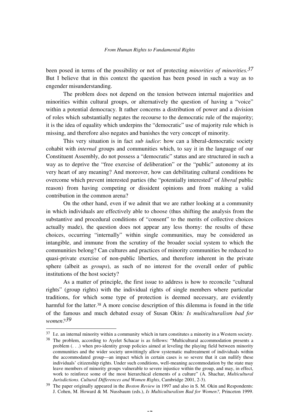been posed in terms of the possibility or not of protecting *minorities of minorities.37* But I believe that in this context the question has been posed in such a way as to engender misunderstanding.

The problem does not depend on the tension between internal majorities and minorities within cultural groups, or alternatively the question of having a "voice" within a potential democracy. It rather concerns a distribution of power and a division of roles which substantially negates the recourse to the democratic rule of the majority; it is the idea of equality which underpins the "democratic" use of majority rule which is missing, and therefore also negates and banishes the very concept of minority.

This very situation is in fact *sub iudice*: how can a liberal-democratic society cohabit with *internal* groups and communities which, to say it in the language of our Constituent Assembly, do not possess a "democratic" status and are structured in such a way as to deprive the "free exercise of deliberation" or the "public" autonomy at its very heart of any meaning? And moreover, how can debilitating cultural conditions be overcome which prevent interested parties (the "potentially interested" of *liberal* public reason) from having competing or dissident opinions and from making a valid contribution in the common arena?

On the other hand, even if we admit that we are rather looking at a community in which individuals are effectively able to choose (thus shifting the analysis from the substantive and procedural conditions of "consent" to the merits of collective choices actually made), the question does not appear any less thorny: the results of these choices, occurring "internally" within single communities, may be considered as intangible, and immune from the scrutiny of the broader social system to which the communities belong? Can cultures and practices of minority communities be reduced to quasi-private exercise of non-public liberties, and therefore inherent in the private sphere (albeit as *groups*), as such of no interest for the overall order of public institutions of the host society?

As a matter of principle, the first issue to address is how to reconcile "cultural rights" (group rights) with the individual rights of single members where particular traditions, for which some type of protection is deemed necessary, are evidently harmful for the latter.<sup>38</sup> A more concise description of this dilemma is found in the title of the famous and much debated essay of Susan Okin*: Is multiculturalism bad for women?39* 

 $37$  I.e. an internal minority within a community which in turn constitutes a minority in a Western society.

<sup>&</sup>lt;sup>38</sup> The problem, according to Ayelet Schacar is as follows: "Multicultural accommodation presents a problem  $( \cdot, \cdot)$  when pro-identity group policies aimed at leveling the playing field between minority communities and the wider society unwittingly allow systematic maltreatment of individuals within the accommodated group—an impact which in certain cases is so severe that it can nullify these individuals' citizenship rights. Under such conditions, well-meaning accommodation by the state may leave members of minority groups vulnerable to severe injustice within the group, and may, in effect, work to reinforce some of the most hierarchical elements of a culture" (A. Shachar, *Multicultural Jurisdictions. Cultural Differences and Women Rights*, Cambridge 2001, 2-3).

<sup>39</sup> The paper originally appeared in the *Boston Review* in 1997 and also in S. M. Okin and Respondents: J. Cohen, M. Howard & M. Nussbaum (eds.), *Is Multiculturalism Bad for Women?,* Princeton 1999.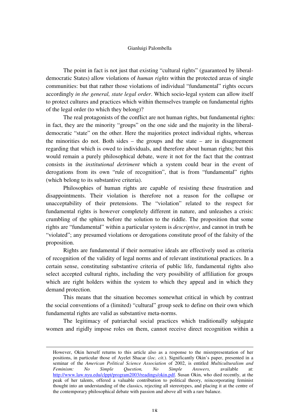The point in fact is not just that existing "cultural rights" (guaranteed by liberaldemocratic States) allow violations of *human rights* within the protected areas of single communities: but that rather those violations of individual "fundamental" rights occurs accordingly *in the general, state legal order*. Which socio-legal system can allow itself to protect cultures and practices which within themselves trample on fundamental rights of the legal order (to which they belong)?

The real protagonists of the conflict are not human rights, but fundamental rights: in fact, they are the minority "groups" on the one side and the majority in the liberaldemocratic "state" on the other. Here the majorities protect individual rights, whereas the minorities do not. Both sides – the groups and the state – are in disagreement regarding that which is owed to individuals, and therefore about human rights; but this would remain a purely philosophical debate, were it not for the fact that the contrast consists in the *institutional detriment* which a system could bear in the event of derogations from its own "rule of recognition", that is from "fundamental" rights (which belong to its substantive criteria).

Philosophies of human rights are capable of resisting these frustration and disappointments. Their violation is therefore not a reason for the collapse or unacceptability of their pretensions. The "violation" related to the respect for fundamental rights is however completely different in nature, and unleashes a crisis: crumbling of the sphinx before the solution to the riddle. The proposition that some rights are "fundamental" within a particular system is *descriptive*, and cannot in truth be "violated"; any presumed violations or derogations constitute proof of the falsity of the proposition.

Rights are fundamental if their normative ideals are effectively used as criteria of recognition of the validity of legal norms and of relevant institutional practices. In a certain sense, constituting substantive criteria of public life, fundamental rights also select accepted cultural rights, including the very possibility of affiliation for groups which are right holders within the system to which they appeal and in which they demand protection.

This means that the situation becomes somewhat critical in which by contrast the social conventions of a (limited) "cultural" group seek to define on their own which fundamental rights are valid as substantive meta-norms.

The legitimacy of patriarchal social practices which traditionally subjugate women and rigidly impose roles on them, cannot receive direct recognition within a

However, Okin herself returns to this article also as a response to the misrepresentation of her positions, in particular those of Ayelet Shacar (*loc. cit.*). Significantly Okin's paper, presented in a seminar of the *American Political Science Association* of 2002, is entitled *Multiculturalism and*<br>Feminism: No Simple Ouestion. No Simple Answers. available at: *Feminism: No Simple Question, No Simple Answers,* available at: http://www.law.nyu.edu/clppt/program2003/readings/okin.pdf. Susan Okin, who died recently, at the peak of her talents, offered a valuable contribution to political theory, reincorporating feminist thought into an understanding of the classics, rejecting all stereotypes, and placing it at the centre of the contemporary philosophical debate with passion and above all with a rare balance.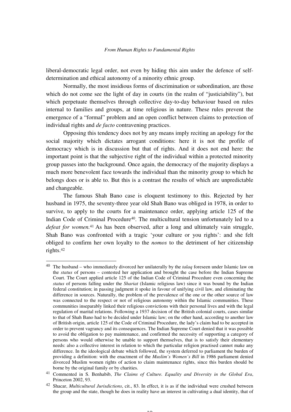liberal-democratic legal order, not even by hiding this aim under the defence of selfdetermination and ethical autonomy of a minority ethnic group.

Normally, the most insidious forms of discrimination or subordination, are those which do not come see the light of day in courts (in the realm of "justiciability"), but which perpetuate themselves through collective day-to-day behaviour based on rules internal to families and groups, at time religious in nature. These rules prevent the emergence of a "formal" problem and an open conflict between claims to protection of individual rights and *de facto* contravening practices.

Opposing this tendency does not by any means imply reciting an apology for the social majority which dictates arrogant conditions: here it is not the profile of democracy which is in discussion but that of rights. And it does not end here: the important point is that the subjective right of the individual within a protected minority group passes into the background. Once again, the democracy of the majority displays a much more benevolent face towards the individual than the minority group to which he belongs does or is able to. But this is a contrast the results of which are unpredictable and changeable.

The famous Shah Bano case is eloquent testimony to this. Rejected by her husband in 1975, the seventy-three year old Shah Bano was obliged in 1978, in order to survive, to apply to the courts for a maintenance order, applying article 125 of the Indian Code of Criminal Procedure<sup>40</sup>. The multicultural tension unfortunately led to a *defeat for women.*41 As has been observed, after a long and ultimately vain struggle, Shah Bano was confronted with a tragic 'your culture or you rights': and she felt obliged to confirm her own loyalty to the *nomos* to the detriment of her citizenship rights.<sup>42</sup>

<sup>40</sup> The husband – who immediately divorced her unilaterally by the *talaq* foreseen under Islamic law on the *status* of persons – contested her application and brought the case before the Indian Supreme Court. The Court applied article 125 of the Indian Code of Criminal Procedure even concerning the *status* of persons falling under the *Shariat* (Islamic religious law) since it was bound by the Indian federal constitution; in passing judgment it spoke in favour of unifying civil law, and eliminating the difference in sources. Naturally, the problem of the prevalence of the one or the other source of law was connected to the respect or not of religious autonomy within the Islamic communities. These communities inseparably linked their religious convictions with their personal lives and with the legal regulation of marital relations. Following a 1937 decision of the British colonial courts, cases similar to that of Shah Bano had to be decided under Islamic law; on the other hand, according to another law of British origin, article 125 of the Code of Criminal Procedure, the lady's claim had to be accepted in order to prevent vagrancy and its consequences. The Indian Supreme Court denied that it was possible to avoid the obligation to pay maintenance, and confirmed the necessity of supporting a category of persons who would otherwise be unable to support themselves, that is to satisfy their elementary needs: also a collective interest in relation to which the particular religion practised cannot make any difference. In the ideological debate which followed, the system deferred to parliament the burden of providing a definition: with the enactment of the *Muslim's Women's Bill* in 1986 parliament denied divorced Muslim women rights of action to claim maintenance rights, since this burden should be borne by the original family or by charities.

<sup>41</sup> Commented in S. Benhabib, *The Claims of Culture. Equality and Diversity in the Global Era*, Princeton 2002, 93.

<sup>42</sup> Shacar, *Multicultural Jurisdictions*, cit., 83. In effect, it is as if the individual were crushed between the group and the state, though he does in reality have an interest in cultivating a dual identity, that of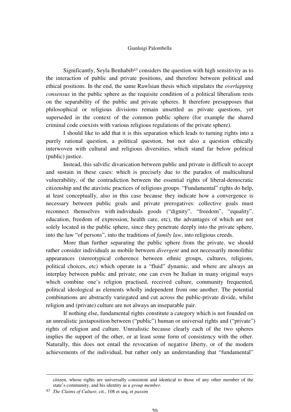Significantly, Seyla Benhabib<sup>43</sup> considers the question with high sensitivity as to the interaction of public and private positions, and therefore between political and ethical positions. In the end, the same Rawlsian thesis which stipulates the *overlapping consensus* in the public sphere as the requisite condition of a political liberalism rests on the separability of the public and private spheres. It therefore presupposes that philosophical or religious divisions remain unsettled as private questions, yet superseded in the context of the common public sphere (for example the shared criminal code coexists with various religious regulations of the private sphere).

I should like to add that it is this separation which leads to turning rights into a purely rational question, a political question, but not also a question ethically interwoven with cultural and religious diversities, which stand far below political (public) justice.

Instead, this salvific divarication between public and private is difficult to accept and sustain in these cases: which is precisely due to the paradox of multicultural vulnerability, of the contradiction between the essential rights of liberal-democratic citizenship and the atavistic practices of religious groups. "Fundamental" rights do help, at least conceptually, also in this case because they indicate how a convergence is necessary between public goals and private prerogatives: collective goals must reconnect themselves with individuals goods ("dignity", "freedom", "equality", education, freedom of expression, health care, etc), the advantages of which are not solely located in the public sphere, since they penetrate deeply into the private sphere, into the law "of persons", into the traditions of *family law*, into religious creeds.

More than further separating the public sphere from the private, we should rather consider individuals as mobile between *divergent* and not necessarily monolithic appearances (stereotypical coherence between ethnic groups, cultures, religions, political choices, etc) which operate in a "fluid" dynamic, and where are always an interplay between public and private; one can even be Italian in many original ways which combine one's religion practised, received culture, community frequented, political ideological as elements wholly independent from one another. The potential combinations are abstractly variegated and cut across the public-private divide, whilst religion and (private) culture are not always an inseparable pair.

If nothing else, fundamental rights constitute a category which is not founded on an unrealistic juxtaposition between ("public") human or universal rights and ("private") rights of religion and culture. Unrealistic because clearly each of the two spheres implies the support of the other, or at least some form of consistency with the other. Naturally, this does not entail the revocation of negative liberty, or of the modern achievements of the individual, but rather only an understanding that "fundamental"

citizen, whose rights are universally consistent and identical to those of any other member of the state's community, and his identity as a *group member*.

<sup>43</sup> *The Claims of Culture*, cit., 108 et seq, et *passim*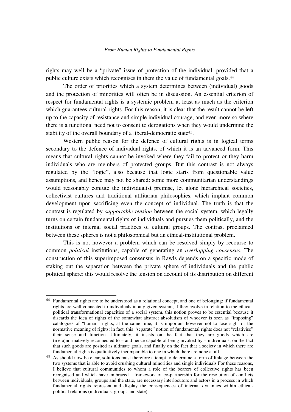rights may well be a "private" issue of protection of the individual, provided that a public culture exists which recognises in them the value of fundamental goals.<sup>44</sup>

The order of priorities which a system determines between (individual) goods and the protection of minorities will often be in discussion. An essential criterion of respect for fundamental rights is a systemic problem at least as much as the criterion which guarantees cultural rights. For this reason, it is clear that the result cannot be left up to the capacity of resistance and simple individual courage, and even more so where there is a functional need not to consent to derogations when they would undermine the stability of the overall boundary of a liberal-democratic state45.

Western public reason for the defence of cultural rights is in logical terms secondary to the defence of individual rights, of which it is an advanced form. This means that cultural rights cannot be invoked where they fail to protect or they harm individuals who are members of protected groups. But this contrast is not always regulated by the "logic", also because that logic starts from questionable value assumptions, and hence may not be shared: some more communitarian understandings would reasonably confute the individualist premise, let alone hierarchical societies, collectivist cultures and traditional utilitarian philosophies, which implant common development upon sacrificing even the concept of individual. The truth is that the contrast is regulated by *supportable tension* between the social system, which legally turns on certain fundamental rights of individuals and pursues them politically, and the institutions or internal social practices of cultural groups. The contrast proclaimed between these spheres is not a philosophical but an ethical-institutional problem.

This is not however a problem which can be resolved simply by recourse to common *political* institutions, capable of generating an *overlapping consensus*. The construction of this superimposed consensus in Rawls depends on a specific mode of staking out the separation between the private sphere of individuals and the public political sphere: this would resolve the tension on account of its distribution on different

<sup>44</sup> Fundamental rights are to be understood as a relational concept, and one of belonging: if fundamental rights are well connected to individuals in any given system, if they evolve in relation to the ethicalpolitical transformational capacities of a social system, this notion proves to be essential because it discards the idea of rights of the somewhat abstract absolutism of whoever is seen as "imposing" catalogues of "human" rights; at the same time, it is important however not to lose sight of the normative meaning of rights: in fact, this "separate" notion of fundamental rights does not "relativise" their sense and function. Ultimately, it insists on the fact that they are goods which are (meta)normatively reconnected to – and hence capable of being invoked by – individuals, on the fact that such goods are posited as ultimate goals, and finally on the fact that a society in which there are fundamental rights is qualitatively incomparable to one in which there are none at all.

<sup>45</sup> As should now be clear, solutions must therefore attempt to determine a form of linkage between the two systems that is able to avoid crushing cultural minorities and single individuals For these reasons, I believe that cultural communities to whom a role of the bearers of collective rights has been recognised and which have embraced a framework of co-partnership for the resolution of conflicts between individuals, groups and the state, are necessary interlocutors and actors in a process in which fundamental rights represent and display the consequences of internal dynamics within ethicalpolitical relations (individuals, groups and state).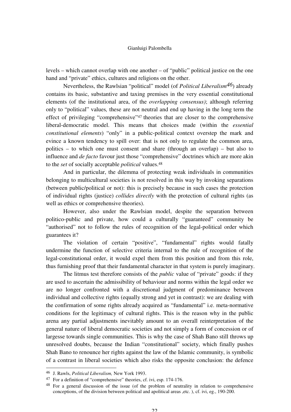levels – which cannot overlap with one another – of "public" political justice on the one hand and "private" ethics, cultures and religions on the other.

Nevertheless, the Rawlsian "political" model (of *Political Liberalism46*) already contains its basic, substantive and taxing premises in the very essential constitutional elements (of the institutional area, of the *overlapping consensus)*; although referring only to "political" values*,* these are not neutral and end up having in the long term the effect of privileging "comprehensive"47 theories that are closer to the comprehensive liberal-democratic model. This means that choices made (within the *essential constitutional elements*) "only" in a public-political context overstep the mark and evince a known tendency to spill over: that is not only to regulate the common area, politics – to which one must consent and share (through an overlap) – but also to influence and *de facto* favour just those "comprehensive" doctrines which are more akin to the *set* of socially acceptable *political* values.<sup>48</sup>

And in particular, the dilemma of protecting weak individuals in communities belonging to multicultural societies is not resolved in this way by invoking separations (between public/political or not): this is precisely because in such cases the protection of individual rights (justice) *collides directly* with the protection of cultural rights (as well as ethics or comprehensive theories).

However, also under the Rawlsian model, despite the separation between politico-public and private, how could a culturally "guaranteed" community be "authorised" not to follow the rules of recognition of the legal-political order which guarantees it?

The violation of certain "positive", "fundamental" rights would fatally undermine the function of selective criteria internal to the rule of recognition of the legal-constitutional order, it would expel them from this position and from this role, thus furnishing proof that their fundamental character in that system is purely imaginary.

The litmus test therefore consists of the *public* value of "private" goods: if they are used to ascertain the admissibility of behaviour and norms within the legal order we are no longer confronted with a discretional judgment of predominance between individual and collective rights (equally strong and yet in contrast): we are dealing with the confirmation of some rights already acquired as "fundamental" i.e. meta-normative conditions for the legitimacy of cultural rights. This is the reason why in the public arena any partial adjustments inevitably amount to an overall reinterpretation of the general nature of liberal democratic societies and not simply a form of concession or of largesse towards single communities. This is why the case of Shah Bano still throws up unresolved doubts, because the Indian "constitutional" society, which finally pushes Shah Bano to renounce her rights against the law of the Islamic community, is symbolic of a contrast in liberal societies which also risks the opposite conclusion: the defence

<sup>46</sup> J. Rawls, *Political Liberalism,* New York 1993.

<sup>47</sup> For a definition of "comprehensive" theories, cf. ivi, esp. 174-176.

<sup>48</sup> For a general discussion of the issue (of the problem of neutrality in relation to comprehensive conceptions, of the division between political and apolitical areas ,etc. ), cf. ivi, eg., 190-200.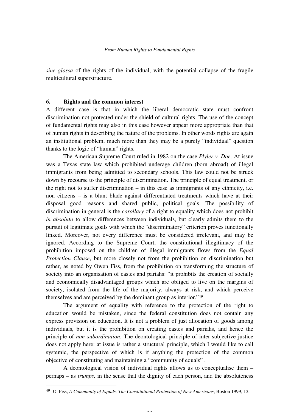*sine glossa* of the rights of the individual, with the potential collapse of the fragile multicultural superstructure.

#### **6. Rights and the common interest**

A different case is that in which the liberal democratic state must confront discrimination not protected under the shield of cultural rights. The use of the concept of fundamental rights may also in this case however appear more appropriate than that of human rights in describing the nature of the problems. In other words rights are again an institutional problem, much more than they may be a purely "individual" question thanks to the logic of "human" rights.

The American Supreme Court ruled in 1982 on the case *Plyler v. Doe*. At issue was a Texas state law which prohibited underage children (born abroad) of illegal immigrants from being admitted to secondary schools. This law could not be struck down by recourse to the principle of discrimination. The principle of equal treatment, or the right not to suffer discrimination – in this case as immigrants of any ethnicity, i.e. non citizens – is a blunt blade against differentiated treatments which have at their disposal good reasons and shared public, political goals. The possibility of discrimination in general is the *corollary* of a right to equality which does not prohibit *in absoluto* to allow differences between individuals, but clearly admits them to the pursuit of legitimate goals with which the "discriminatory" criterion proves functionally linked. Moreover, not every difference must be considered irrelevant, and may be ignored. According to the Supreme Court, the constitutional illegitimacy of the prohibition imposed on the children of illegal immigrants flows from the *Equal Protection Clause*, but more closely not from the prohibition on discrimination but rather, as noted by Owen Fiss, from the prohibition on transforming the structure of society into an organisation of castes and pariahs: "it prohibits the creation of socially and economically disadvantaged groups which are obliged to live on the margins of society, isolated from the life of the majority, always at risk, and which perceive themselves and are perceived by the dominant group as interior."<sup>49</sup>

The argument of equality with reference to the protection of the right to education would be mistaken, since the federal constitution does not contain any express provision on education. It is not a problem of just allocation of goods among individuals, but it is the prohibition on creating castes and pariahs, and hence the principle of *non subordination*. The deontological principle of inter-subjective justice does not apply here: at issue is rather a structural principle, which I would like to call systemic, the perspective of which is if anything the protection of the common objective of constituting and maintaining a "community of equals" .

A deontological vision of individual rights allows us to conceptualise them – perhaps – as *trumps,* in the sense that the dignity of each person, and the absoluteness

-

 $\sim$ 

<sup>49</sup> O. Fiss, *A Community of Equals. The Constitutional Protection of New Americans*, Boston 1999, 12.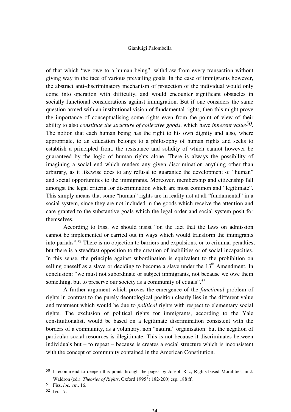of that which "we owe to a human being", withdraw from every transaction without giving way in the face of various prevailing goals. In the case of immigrants however, the abstract anti-discriminatory mechanism of protection of the individual would only come into operation with difficulty, and would encounter significant obstacles in socially functional considerations against immigration. But if one considers the same question armed with an institutional vision of fundamental rights, then this might prove the importance of conceptualising some rights even from the point of view of their ability to also *constitute the structure of collective goods*, which have *inherent value50.*  The notion that each human being has the right to his own dignity and also, where appropriate, to an education belongs to a philosophy of human rights and seeks to establish a principled front, the resistance and solidity of which cannot however be guaranteed by the logic of human rights alone. There is always the possibility of imagining a social end which renders any given discrimination anything other than arbitrary, as it likewise does to any refusal to guarantee the development of "human" and social opportunities to the immigrants. Moreover, membership and citizenship fall amongst the legal criteria for discrimination which are most common and "legitimate". This simply means that some "human" rights are in reality not at all "fundamental" in a social system, since they are not included in the goods which receive the attention and care granted to the substantive goals which the legal order and social system posit for themselves.

According to Fiss, we should insist "on the fact that the laws on admission cannot be implemented or carried out in ways which would transform the immigrants into pariahs".51 There is no objection to barriers and expulsions, or to criminal penalties, but there is a steadfast opposition to the creation of inabilities or of social incapacities. In this sense, the principle against subordination is equivalent to the prohibition on selling oneself as a slave or deciding to become a slave under the 13<sup>th</sup> Amendment. In conclusion: "we must not subordinate or subject immigrants, not because we owe them something, but to preserve our society as a community of equals".<sup>52</sup>

A further argument which proves the emergence of the *functional* problem of rights in contrast to the purely deontological position clearly lies in the different value and treatment which would be due to *political* rights with respect to elementary social rights. The exclusion of political rights for immigrants, according to the Yale constitutionalist, would be based on a legitimate discrimination consistent with the borders of a community, as a voluntary, non "natural" organisation: but the negation of particular social resources is illegitimate. This is not because it discriminates between individuals but – to repeat – because is creates a social structure which is inconsistent with the concept of community contained in the American Constitution.

<sup>50</sup> I recommend to deepen this point through the pages by Joseph Raz, Rights-based Moralities, in J. Waldron (ed.), *Theories of Rights*, Oxford 1995<sup>7</sup> (182-200) esp. 188 ff.

<sup>51</sup> Fiss, *loc. cit*., 16.

<sup>52</sup> Ivi, 17.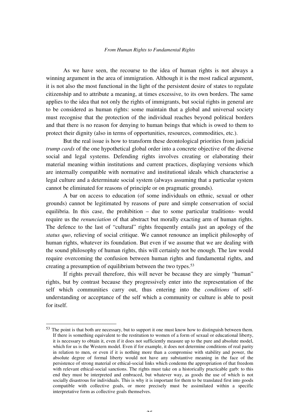As we have seen, the recourse to the idea of human rights is not always a winning argument in the area of immigration. Although it is the most radical argument, it is not also the most functional in the light of the persistent desire of states to regulate citizenship and to attribute a meaning, at times excessive, to its own borders. The same applies to the idea that not only the rights of immigrants, but social rights in general are to be considered as human rights: some maintain that a global and universal society must recognise that the protection of the individual reaches beyond political borders and that there is no reason for denying to human beings that which is owed to them to protect their dignity (also in terms of opportunities, resources, commodities, etc.).

But the real issue is how to transform these deontological priorities from judicial *trump cards* of the one hypothetical global order into a concrete objective of the diverse social and legal systems. Defending rights involves creating or elaborating their material meaning within institutions and current practices, displaying versions which are internally compatible with normative and institutional ideals which characterise a legal culture and a determinate social system (always assuming that a particular system cannot be eliminated for reasons of principle or on pragmatic grounds).

A bar on access to education (of some individuals on ethnic, sexual or other grounds) cannot be legitimated by reasons of pure and simple conservation of social equilibria. In this case, the prohibition – due to some particular traditions- would require us the *renunciation* of that abstract but morally exacting arm of human rights. The defence to the last of "cultural" rights frequently entails just an apology of the *status quo*, relieving of social critique. We cannot renounce an implicit philosophy of human rights, whatever its foundation. But even if we assume that we are dealing with the sound philosophy of human rights, this will certainly not be enough. The law would require overcoming the confusion between human rights and fundamental rights, and creating a presumption of equilibrium between the two types.<sup>53</sup>

If rights prevail therefore, this will never be because they are simply "human" rights, but by contrast because they progressively enter into the representation of the self which communities carry out, thus entering into the *conditions* of selfunderstanding or acceptance of the self which a community or culture is able to posit for itself.

<sup>53</sup> The point is that both are necessary, but to support it one must know how to distinguish between them. If there is something equivalent to the restitution to women of a form of sexual or educational liberty, it is necessary to obtain it, even if it does not sufficiently measure up to the pure and absolute model, which for us is the Western model. Even if for example, it does not determine conditions of real parity in relation to men, or even if it is nothing more than a compromise with stability and power, the absolute degree of formal liberty would not have any substantive meaning in the face of the persistence of strong material or ethical-social links which condemn the appropriation of that freedom with relevant ethical-social sanctions. The rights must take on a historically practicable garb: to this end they must be interpreted and embraced, but whatever way, as goods the use of which is not socially disastrous for individuals. This is why it is important for them to be translated first into goods compatible with collective goals, or more precisely must be assimilated within a specific interpretative form as collective goals themselves.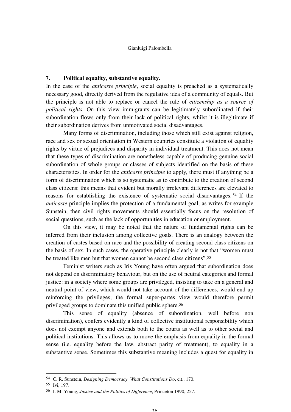#### **7. Political equality, substantive equality.**

In the case of the *anticaste principle*, social equality is preached as a systematically necessary good, directly derived from the regulative idea of a community of equals. But the principle is not able to replace or cancel the rule of *citizenship as a source of political rights*. On this view immigrants can be legitimately subordinated if their subordination flows only from their lack of political rights, whilst it is illegitimate if their subordination derives from unmotivated social disadvantages.

Many forms of discrimination, including those which still exist against religion, race and sex or sexual orientation in Western countries constitute a violation of equality rights by virtue of prejudices and disparity in individual treatment. This does not mean that these types of discrimination are nonetheless capable of producing genuine social subordination of whole groups or classes of subjects identified on the basis of these characteristics. In order for the *anticaste principle* to apply, there must if anything be a form of discrimination which is so systematic as to contribute to the creation of second class citizens: this means that evident but morally irrelevant differences are elevated to reasons for establishing the existence of systematic social disadvantages. <sup>54</sup> If the *anticaste* principle implies the protection of a fundamental goal, as writes for example Sunstein, then civil rights movements should essentially focus on the resolution of social questions, such as the lack of opportunities in education or employment.

On this view, it may be noted that the nature of fundamental rights can be inferred from their inclusion among collective goals. There is an analogy between the creation of castes based on race and the possibility of creating second class citizens on the basis of sex. In such cases, the operative principle clearly is not that "women must be treated like men but that women cannot be second class citizens".<sup>55</sup>

Feminist writers such as Iris Young have often argued that subordination does not depend on discriminatory behaviour, but on the use of neutral categories and formal justice: in a society where some groups are privileged, insisting to take on a general and neutral point of view, which would not take account of the differences, would end up reinforcing the privileges; the formal super-partes view would therefore permit privileged groups to dominate this unified public sphere.<sup>56</sup>

This sense of equality (absence of subordination, well before non discrimination), confers evidently a kind of collective institutional responsibility which does not exempt anyone and extends both to the courts as well as to other social and political institutions. This allows us to move the emphasis from equality in the formal sense (i.e. equality before the law, abstract parity of treatment), to equality in a substantive sense. Sometimes this substantive meaning includes a quest for equality in

<sup>54</sup> C. R. Sunstein, *Designing Democracy. What Constitutions Do*, cit., 170.

<sup>55</sup> Ivi, 197.

<sup>56</sup> I. M. Young*, Justice and the Politics of Difference*, Princeton 1990, 257.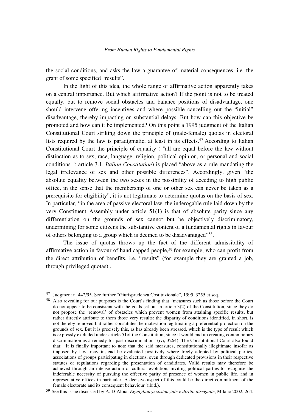the social conditions, and asks the law a guarantee of material consequences, i.e. the grant of some specified "results".

In the light of this idea, the whole range of affirmative action apparently takes on a central importance. But which affirmative action? If the point is not to be treated equally, but to remove social obstacles and balance positions of disadvantage, one should intervene offering incentives and where possible cancelling out the "initial" disadvantage, thereby impacting on substantial delays. But how can this objective be promoted and how can it be implemented? On this point a 1995 judgment of the Italian Constitutional Court striking down the principle of (male-female) quotas in electoral lists required by the law is paradigmatic, at least in its effects.<sup>57</sup> According to Italian Constitutional Court the principle of equality ( "all are equal before the law without distinction as to sex, race, language, religion, political opinion, or personal and social conditions ": article 3.1, *Italian Constitution*) is placed "above as a rule mandating the legal irrelevance of sex and other possible differences". Accordingly, given "the absolute equality between the two sexes in the possibility of acceding to high public office, in the sense that the membership of one or other sex can never be taken as a prerequisite for eligibility", it is not legitimate to determine quotas on the basis of sex. In particular, "in the area of passive electoral law, the inderogable rule laid down by the very Constituent Assembly under article 51(1) is that of absolute parity since any differentiation on the grounds of sex cannot but be objectively discriminatory, undermining for some citizens the substantive content of a fundamental rights in favour of others belonging to a group which is deemed to be disadvantaged"58.

The issue of quotas throws up the fact of the different admissibility of affirmative action in favour of handicapped people,59 for example, who can profit from the direct attribution of benefits, i.e. "results" (for example they are granted a job, through privileged quotas) .

<sup>57</sup> Judgment n. 442/95. See further "Giurisprudenza Costituzionale", 1995, 3255 et seq.

<sup>58</sup> Also revealing for our purposes is the Court's finding that "measures such as those before the Court do not appear to be consistent with the goals set out in article 3(2) of the Constitution, since they do not propose the 'removal' of obstacles which prevent women from attaining specific results, but rather directly attribute to them those very results: the disparity of conditions identified, in short, is not thereby removed but rather constitutes the motivation legitimating a preferential protection on the grounds of sex. But it is precisely this, as has already been stressed, which is the type of result which is expressly excluded under article 51of the Constitution, since it would end up creating contemporary discrimination as a remedy for past discrimination" (ivi, 3264). The Constitutional Court also found that: "It is finally important to note that the said measures, constitutionally illegitimate insofar as imposed by law, may instead be evaluated positively where freely adopted by political parties, associations of groups participating in elections, even through dedicated provisions in their respective statutes or regulations regarding the presentation of candidates. Valid results may therefore be achieved through an intense action of cultural evolution, inviting political parties to recognise the indeferable necessity of pursuing the effective parity of presence of women in public life, and in representative offices in particular. A decisive aspect of this could be the direct commitment of the female electorate and its consequent behaviour"(ibid.).

<sup>59</sup> See this issue discussed by A. D'Aloia, *Eguaglianza sostanziale e diritto diseguale*, Milano 2002, 264.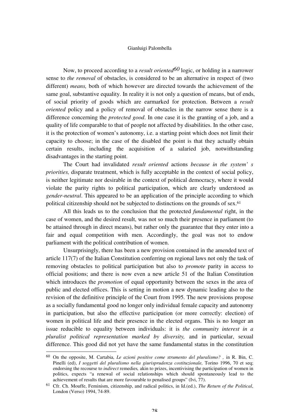Now, to proceed according to a *result oriented60* logic, or holding in a narrower sense to *the removal* of obstacles, is considered to be an alternative in respect of (two different) *means,* both of which however are directed towards the achievement of the same goal, substantive equality. In reality it is not only a question of means, but of ends, of social priority of goods which are earmarked for protection. Between a *result oriented* policy and a policy of removal of obstacles in the narrow sense there is a difference concerning the *protected good*. In one case it is the granting of a job, and a quality of life comparable to that of people not affected by disabilities. In the other case, it is the protection of women's autonomy, i.e. a starting point which does not limit their capacity to choose; in the case of the disabled the point is that they actually obtain certain results, including the acquisition of a salaried job, notwithstanding disadvantages in the starting point.

The Court had invalidated *result oriented* actions *because in the system' s priorities,* disparate treatment, which is fully acceptable in the context of social policy, is neither legitimate nor desirable in the context of political democracy, where it would violate the parity rights to political participation, which are clearly understood as *gender-neutral*. This appeared to be an application of the principle according to which political citizenship should not be subjected to distinctions on the grounds of sex.<sup>61</sup>

All this leads us to the conclusion that the protected *fundamental* right, in the case of women, and the desired result, was not so much their presence in parliament (to be attained through in direct means), but rather only the guarantee that they enter into a fair and equal competition with men. Accordingly, the goal was not to endow parliament with the political contribution of women.

Unsurprisingly, there has been a new provision contained in the amended text of article 117(7) of the Italian Constitution conferring on regional laws not only the task of removing obstacles to political participation but also to *promote* parity in access to official positions; and there is now even a new article 51 of the Italian Constitution which introduces the *promotion* of equal opportunity between the sexes in the area of public and elected offices. This is setting in motion a new dynamic leading also to the revision of the definitive principle of the Court from 1995. The new provisions propose as a socially fundamental good no longer only individual female capacity and autonomy in participation, but also the effective participation (or more correctly: election) of women in political life and their presence in the elected organs. This is no longer an issue reducible to equality between individuals: it is *the community interest in a pluralist political representation marked by diversity,* and in particular, sexual difference. This good did not yet have the same fundamental status in the constitution

<sup>60</sup> On the opposite, M. Cartabia, *Le azioni positive come strumento del pluralismo? ,* in R. Bin, C. Pinelli (ed), I soggetti del pluralismo nella giurisprudenza costituzionale, Torino 1996, 70 et seq; endorsing the recourse to *indirect* remedies*,* akin to prizes, incentivising the participation of women in politics, expects "a renewal of social relationships which should spontaneously lead to the achievement of results that are more favourable to penalised groups" (Ivi, 77).

<sup>61</sup> Cfr. Ch. Mouffe, Feminism, citizenship, and radical politics, in Id.(ed.), *The Return of the Political*, London (Verso) 1994, 74-89.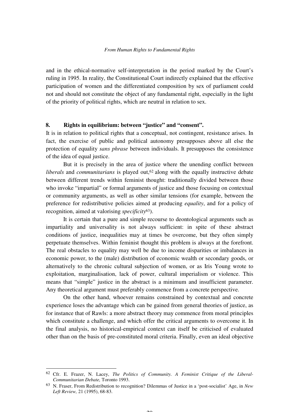and in the ethical-normative self-interpretation in the period marked by the Court's ruling in 1995. In reality, the Constitutional Court indirectly explained that the effective participation of women and the differentiated composition by sex of parliament could not and should not constitute the object of any fundamental right, especially in the light of the priority of political rights, which are neutral in relation to sex.

#### **8. Rights in equilibrium: between "justice" and "consent".**

It is in relation to political rights that a conceptual, not contingent, resistance arises. In fact, the exercise of public and political autonomy presupposes above all else the protection of equality *sans phrase* between individuals. It presupposes the consistence of the idea of equal justice.

But it is precisely in the area of justice where the unending conflict between *liberals* and *communitarians* is played out,<sup>62</sup> along with the equally instructive debate between different trends within feminist thought: traditionally divided between those who invoke "impartial" or formal arguments of justice and those focusing on contextual or community arguments, as well as other similar tensions (for example, between the preference for redistributive policies aimed at producing *equality*, and for a policy of recognition, aimed at valorising *specificity*63).

It is certain that a pure and simple recourse to deontological arguments such as impartiality and universality is not always sufficient: in spite of these abstract conditions of justice, inequalities may at times be overcome, but they often simply perpetuate themselves. Within feminist thought this problem is always at the forefront. The real obstacles to equality may well be due to income disparities or imbalances in economic power, to the (male) distribution of economic wealth or secondary goods, or alternatively to the chronic cultural subjection of women, or as Iris Young wrote to exploitation, marginalisation, lack of power, cultural imperialism or violence. This means that "simple" justice in the abstract is a minimum and insufficient parameter. Any theoretical argument must preferably commence from a concrete perspective.

On the other hand, whoever remains constrained by contextual and concrete experience loses the advantage which can be gained from general theories of justice, as for instance that of Rawls: a more abstract theory may commence from moral principles which constitute a challenge, and which offer the critical arguments to overcome it. In the final analysis, no historical-empirical context can itself be criticised of evaluated other than on the basis of pre-constituted moral criteria. Finally, even an ideal objective

j

 $\mathbf{A}$ 

<sup>62</sup> Cfr. E. Frazer, N. Lacey, *The Politics of Community. A Feminist Critique of the Liberal-Communitarian Debate,* Toronto 1993.

<sup>63</sup> N. Fraser, From Redistribution to recognition? Dilemmas of Justice in a 'post-socialist' Age, in *New Left Review,* 21 (1995), 68-83.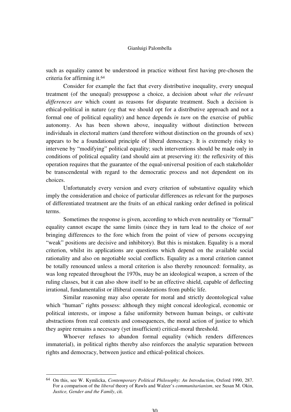such as equality cannot be understood in practice without first having pre-chosen the criteria for affirming it.<sup>64</sup>

Consider for example the fact that every distributive inequality, every unequal treatment (of the unequal) presuppose a choice, a decision about *what the relevant differences are* which count as reasons for disparate treatment. Such a decision is ethical-political in nature (*eg* that we should opt for a distributive approach and not a formal one of political equality) and hence depends *in turn* on the exercise of public autonomy. As has been shown above, inequality without distinction between individuals in electoral matters (and therefore without distinction on the grounds of sex) appears to be a foundational principle of liberal democracy. It is extremely risky to intervene by "modifying" political equality; such interventions should be made only in conditions of political equality (and should aim at preserving it): the reflexivity of this operation requires that the guarantee of the equal-universal position of each stakeholder be transcendental with regard to the democratic process and not dependent on its choices.

Unfortunately every version and every criterion of substantive equality which imply the consideration and choice of particular differences as relevant for the purposes of differentiated treatment are the fruits of an ethical ranking order defined in political terms.

Sometimes the response is given, according to which even neutrality or "formal" equality cannot escape the same limits (since they in turn lead to the choice of *not*  bringing differences to the fore which from the point of view of persons occupying "weak" positions are decisive and inhibitory). But this is mistaken. Equality is a moral criterion, whilst its applications are questions which depend on the available social rationality and also on negotiable social conflicts. Equality as a moral criterion cannot be totally renounced unless a moral criterion is also thereby renounced: formality, as was long repeated throughout the 1970s, may be an ideological weapon, a screen of the ruling classes, but it can also show itself to be an effective shield, capable of deflecting irrational, fundamentalist or illiberal considerations from public life.

Similar reasoning may also operate for moral and strictly deontological value which "human" rights possess: although they might conceal ideological, economic or political interests, or impose a false uniformity between human beings, or cultivate abstractions from real contexts and consequences, the moral action of justice to which they aspire remains a necessary (yet insufficient) critical-moral threshold.

Whoever refuses to abandon formal equality (which renders differences immaterial), in political rights thereby also reinforces the analytic separation between rights and democracy, between justice and ethical-political choices.

<sup>64</sup> On this, see W. Kymlicka, *Contemporary Political Philosophy: An Introduction*, Oxford 1990, 287. For a comparison of the *liberal* theory of Rawls and Walzer's *communitarianism*, see Susan M. Okin, *Justice, Gender and the Family*, cit.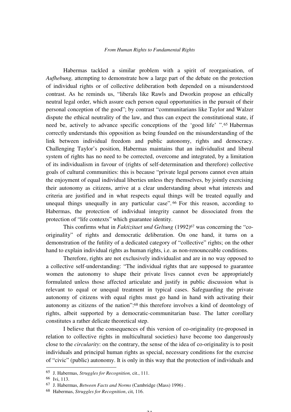Habermas tackled a similar problem with a spirit of reorganisation, of *Aufhebung,* attempting to demonstrate how a large part of the debate on the protection of individual rights or of collective deliberation both depended on a misunderstood contrast. As he reminds us, "liberals like Rawls and Dworkin propose an ethically neutral legal order, which assure each person equal opportunities in the pursuit of their personal conception of the good"; by contrast "communitarians like Taylor and Walzer dispute the ethical neutrality of the law, and thus can expect the constitutional state, if need be, actively to advance specific conceptions of the 'good life' ".65 Habermas correctly understands this opposition as being founded on the misunderstanding of the link between individual freedom and public autonomy, rights and democracy. Challenging Taylor's position, Habermas maintains that an individualist and liberal system of rights has no need to be corrected, overcome and integrated, by a limitation of its individualism in favour of (rights of self-determination and therefore) collective goals of cultural communities: this is because "private legal persons cannot even attain the enjoyment of equal individual liberties unless they themselves, by jointly exercising their autonomy as citizens, arrive at a clear understanding about what interests and criteria are justified and in what respects equal things will be treated equally and unequal things unequally in any particular case". <sup>66</sup> For this reason, according to Habermas, the protection of individual integrity cannot be dissociated from the protection of "life contexts" which guarantee identity.

This confirms what in *Faktizitaet und Geltung* (1992)<sup>67</sup> was concerning the "cooriginality" of rights and democratic deliberation. On one hand, it turns on a demonstration of the futility of a dedicated category of "collective" rights; on the other hand to explain individual rights as human rights, i.e. as non-renounceable conditions.

Therefore, rights are not exclusively individualist and are in no way opposed to a collective self-understanding: "The individual rights that are supposed to guarantee women the autonomy to shape their private lives cannot even be appropriately formulated unless those affected articulate and justify in public discussion what is relevant to equal or unequal treatment in typical cases. Safeguarding the private autonomy of citizens with equal rights must go hand in hand with activating their autonomy as citizens of the nation":68 this therefore involves a kind of deontology of rights, albeit supported by a democratic-communitarian base. The latter corollary constitutes a rather delicate theoretical step.

I believe that the consequences of this version of co-originality (re-proposed in relation to collective rights in multicultural societies) have become too dangerously close to the *circularity*: on the contrary, the sense of the idea of co-originality is to posit individuals and principal human rights as special, necessary conditions for the exercise of "civic" (public) autonomy. It is only in this way that the protection of individuals and

<sup>65</sup> J. Habermas, *Struggles for Recognition,* cit., 111.

<sup>66</sup> Ivi, 113.

<sup>67</sup> J. Habermas, *Between Facts and Norms* (Cambridge (Mass) 1996) .

<sup>68</sup> Habermas, *Struggles for Recognition*, cit, 116.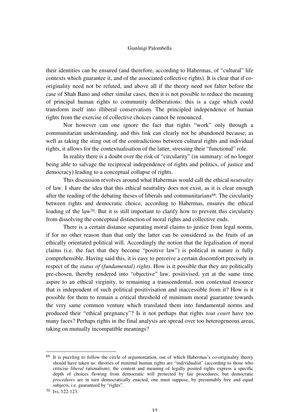their identities can be ensured (and therefore, according to Habermas, of "cultural" life contexts which guarantee it, and of the associated collective rights). It is clear that if cooriginality need not be refuted, and above all if the theory need not falter before the case of Shah Bano and other similar cases, then it is not possible to reduce the meaning of principal human rights to community deliberations: this is a cage which could transform itself into illiberal conservatism. The principled independence of human rights from the exercise of collective choices cannot be renounced.

Nor however can one ignore the fact that rights "work" only through a communitarian understanding, and this link can clearly not be abandoned because, as well as taking the sting out of the contradictions between cultural rights and individual rights, it allows for the contextualisation of the latter, stressing their "functional" role.

In reality there is a doubt over the risk of "circularity" (in summary: of no longer being able to salvage the reciprocal independence of rights and politics, of justice and democracy) leading to a conceptual collapse of rights.

This discussion revolves around what Habermas would call the ethical *neutrality*  of law. I share the idea that this ethical neutrality does not exist, as it is clear enough after the reading of the debating theses of liberals and communitarians69. The circularity between rights and democratic choice, according to Habermas, ensures the ethical loading of the law<sup>70</sup>. But it is still important to clarify how to prevent this circularity from dissolving the conceptual distinction of moral rights and collective ends.

There is a certain distance separating moral claims to justice from legal norms, if for no other reason than that only the latter can be considered as the fruits of an ethically orientated political will. Accordingly the notion that the legalisation of moral claims (i.e. the fact that they become "positive law") is political in nature is fully comprehensible. Having said this, it is easy to perceive a certain discomfort precisely in respect of the *status of (fundamental) rights*. How is it possible that they are politically pre-chosen, thereby rendered into "objective" law, positivised, yet at the same time aspire to an ethical virginity, to remaining a transcendental, non contextual resource that is independent of such political positivisation and inaccessible from it? How is it possible for them to remain a critical threshold of minimum moral guarantee towards the very same common venture which translated them into fundamental norms and produced their "ethical pregnancy"? Is it not perhaps that rights *tout court* have too many faces? Perhaps rights in the final analysis are spread over too heterogeneous areas, taking on mutually incompatible meanings?

 $69$  It is puzzling to follow the circle of argumentation, out of which Habermas's co-originality theory should have taken us: theories of minimal human rights are "individualist" (according to those who criticise *liberal* rationalism); the content and meaning of legally posited rights express a specific depth of choices flowing from democratic will protected by fair procedures; but democratic *procedures* are in turn democratically enacted, one must suppose, by presumably free and equal subjects, i.e. guaranteed by "rights".

<sup>70</sup> Ivi, 122-123.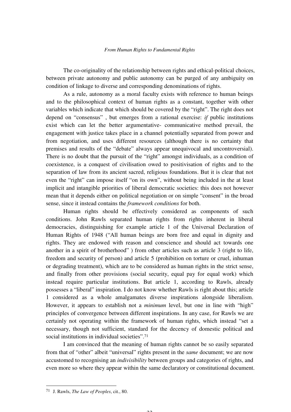The co-originality of the relationship between rights and ethical-political choices, between private autonomy and public autonomy can be purged of any ambiguity on condition of linkage to diverse and corresponding denominations of rights.

As a rule, autonomy as a moral faculty exists with reference to human beings and to the philosophical context of human rights as a constant, together with other variables which indicate that which should be covered by the "right". The right does not depend on "consensus" , but emerges from a rational exercise: *if* public institutions exist which can let the better argumentative- communicative method prevail, the engagement with justice takes place in a channel potentially separated from power and from negotiation, and uses different resources (although there is no certainty that premises and results of the "debate" always appear unequivocal and uncontroversial). There is no doubt that the pursuit of the "right" amongst individuals, as a condition of coexistence, is a conquest of civilisation owed to positivisation of rights and to the separation of law from its ancient sacred, religious foundations. But it is clear that not even the "right" can impose itself "on its own", without being included in the at least implicit and intangible priorities of liberal democratic societies: this does not however mean that it depends either on political negotiation or on simple "consent" in the broad sense, since it instead contains the *framework conditions* for both.

Human rights should be effectively considered as components of such conditions. John Rawls separated human rights from rights inherent in liberal democracies, distinguishing for example article 1 of the Universal Declaration of Human Rights of 1948 ("All human beings are born free and equal in dignity and rights. They are endowed with reason and conscience and should act towards one another in a spirit of brotherhood" ) from other articles such as article 3 (right to life, freedom and security of person) and article 5 (prohibition on torture or cruel, inhuman or degrading treatment), which are to be considered as human rights in the strict sense, and finally from other provisions (social security, equal pay for equal work) which instead require particular institutions. But article 1, according to Rawls, already possesses a "liberal" inspiration. I do not know whether Rawls is right about this; article 1 considered as a whole amalgamates diverse inspirations alongside liberalism. However, it appears to establish not a *minimum* level, but one in line with "high" principles of convergence between different inspirations. In any case, for Rawls we are certainly not operating within the framework of human rights, which instead "set a necessary, though not sufficient, standard for the decency of domestic political and social institutions in individual societies".<sup>71</sup>

I am convinced that the meaning of human rights cannot be so easily separated from that of "other" albeit "universal" rights present in the *same* document; we are now accustomed to recognising an *indivisibility* between groups and categories of rights, and even more so where they appear within the same declaratory or constitutional document.

 $\Omega$ 

<sup>71</sup> J. Rawls, *The Law of Peoples*, cit., 80.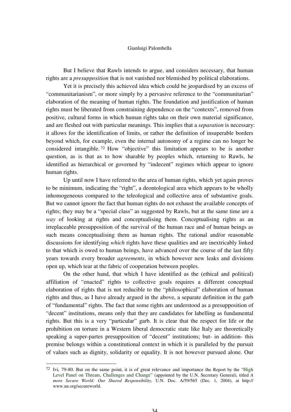But I believe that Rawls intends to argue, and considers necessary, that human rights are a *presupposition* that is not vanished nor blemished by political elaborations.

Yet it is precisely this achieved idea which could be jeopardised by an excess of "communitarianism", or more simply by a pervasive reference to the "communitarian" elaboration of the meaning of human rights. The foundation and justification of human rights must be liberated from constraining dependence on the "contexts", removed from positive, cultural forms in which human rights take on their own material significance, and are fleshed out with particular meanings. This implies that a *separation* is necessary: it allows for the identification of limits, or rather the definition of insuperable borders beyond which, for example, even the internal autonomy of a regime can no longer be considered intangible. <sup>72</sup> How "objective" this limitation appears to be is another question, as is that as to how sharable by peoples which, returning to Rawls, he identified as hierarchical or governed by "indecent" regimes which appear to ignore human rights.

Up until now I have referred to the area of human rights, which yet again proves to be minimum, indicating the "right", a deontological area which appears to be wholly inhomogeneous compared to the teleological and collective area of substantive goals. But we cannot ignore the fact that human rights do not exhaust the available concepts of rights; they may be a "special class" as suggested by Rawls, but at the same time are a *way* of looking at rights and conceptualising them. Conceptualising rights as an irreplaceable presupposition of the survival of the human race and of human beings as such means conceptualising them as human rights. The rational and/or reasonable discussions for identifying *which* rights have these qualities and are inextricably linked to that which is owed to human beings, have advanced over the course of the last fifty years towards every broader *agreements*, in which however new leaks and divisions open up, which tear at the fabric of cooperation between peoples.

On the other hand, that which I have identified as the (ethical and political) affiliation of "enacted" rights to collective goals requires a different conceptual elaboration of rights that is not reducible to the "philosophical" elaboration of human rights and thus, as I have already argued in the above, a separate definition in the garb of "fundamental" rights. The fact that some rights are understood as a presupposition of "decent" institutions, means only that they are candidates for labelling as fundamental rights. But this is a very "particular" garb. It is clear that the respect for life or the prohibition on torture in a Western liberal democratic state like Italy are theoretically speaking a super-partes presupposition of "decent" institutions; but- in addition- this premise belongs within a constitutional context in which it is paralleled by the pursuit of values such as dignity, solidarity or equality. It is not however pursued alone. Our

<sup>72</sup> Ivi, 79-80. But on the same point, it is of great relevance and importance the Report by the "High Level Panel on Threats, Challenges and Change" (appointed by the U.N. Secretary General), titled *A more Secure World: Our Shared Responsibility,* U.N. Doc. A/59/565 (Dec. 1, 2004), at http:// www.un.org/secureworld.